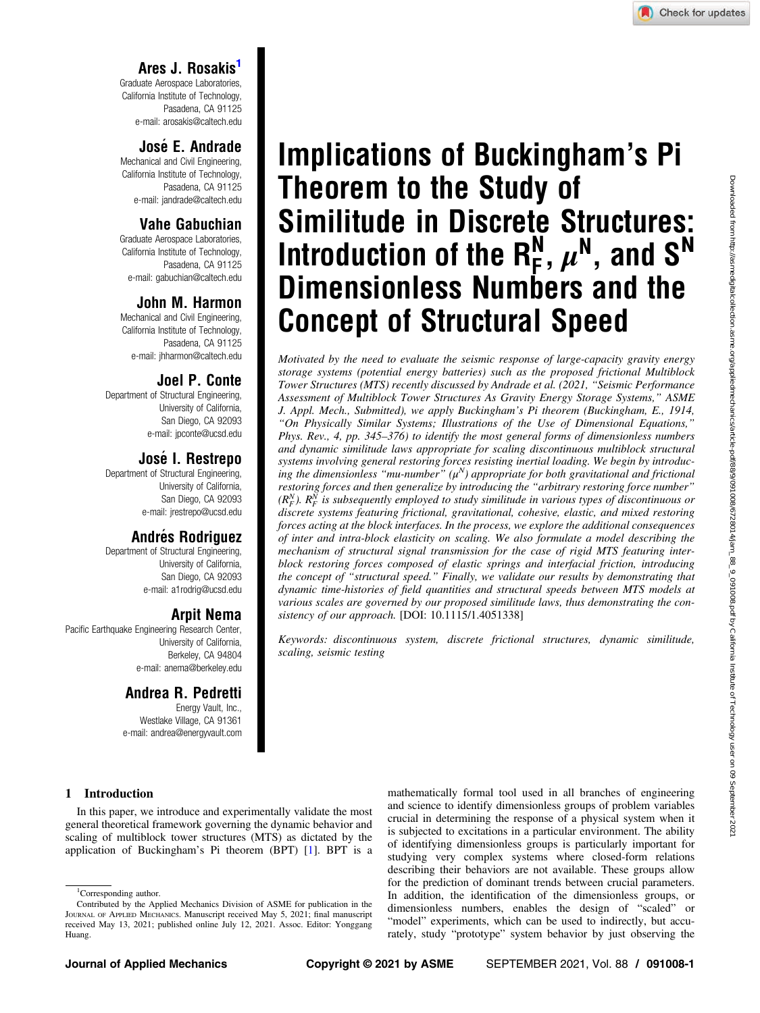# Ares J. Rosakis1

Graduate Aerospace Laboratories, California Institute of Technology, Pasadena, CA 91125 e-mail: [arosakis@caltech.edu](mailto:arosakis@caltech.edu)

# JoséE. Andrade

Mechanical and Civil Engineering, California Institute of Technology, Pasadena, CA 91125 e-mail: [jandrade@caltech.edu](mailto:jandrade@caltech.edu)

# Vahe Gabuchian

Graduate Aerospace Laboratories, California Institute of Technology, Pasadena, CA 91125 e-mail: [gabuchian@caltech.edu](mailto:gabuchian@caltech.edu)

# John M. Harmon

Mechanical and Civil Engineering, California Institute of Technology, Pasadena, CA 91125 e-mail: [jhharmon@caltech.edu](mailto:jhharmon@caltech.edu)

# Joel P. Conte

Department of Structural Engineering, University of California, San Diego, CA 92093 e-mail: [jpconte@ucsd.edu](mailto:jpconte@ucsd.edu)

# JoséI. Restrepo

Department of Structural Engineering, University of California, San Diego, CA 92093 e-mail: [jrestrepo@ucsd.edu](mailto:jrestrepo@ucsd.edu)

# Andrés Rodriguez

Department of Structural Engineering, University of California, San Diego, CA 92093 e-mail: [a1rodrig@ucsd.edu](mailto:a1rodrig@ucsd.edu)

# Arpit Nema

Pacific Earthquake Engineering Research Center, University of California, Berkeley, CA 94804 e-mail: [anema@berkeley.edu](mailto:anema@berkeley.edu)

## Andrea R. Pedretti

Energy Vault, Inc., Westlake Village, CA 91361 e-mail: [andrea@energyvault.com](mailto:andrea@energyvault.com)

# Implications of Buckingham's Pi Theorem to the Study of Similitude in Discrete Structures: Introduction of the  $R_F^N$ ,  $\mu^N$ , and  $S^N$ Dimensionless Numbers and the Concept of Structural Speed

Motivated by the need to evaluate the seismic response of large-capacity gravity energy storage systems (potential energy batteries) such as the proposed frictional Multiblock Tower Structures (MTS) recently discussed by Andrade et al. (2021, "Seismic Performance Assessment of Multiblock Tower Structures As Gravity Energy Storage Systems," ASME J. Appl. Mech., Submitted), we apply Buckingham's Pi theorem (Buckingham, E., 1914, "On Physically Similar Systems; Illustrations of the Use of Dimensional Equations," Phys. Rev., 4, pp. 345–376) to identify the most general forms of dimensionless numbers and dynamic similitude laws appropriate for scaling discontinuous multiblock structural systems involving general restoring forces resisting inertial loading. We begin by introducing the dimensionless "mu-number"  $(\mu^N)$  appropriate for both gravitational and frictional restoring forces and then generalize by introducing the "arbitrary restoring force number"  $(R_F^N)$ .  $R_F^{\overline{N}}$  is subsequently employed to study similitude in various types of discontinuous or discrete systems featuring frictional, gravitational, cohesive, elastic, and mixed restoring forces acting at the block interfaces. In the process, we explore the additional consequences of inter and intra-block elasticity on scaling. We also formulate a model describing the mechanism of structural signal transmission for the case of rigid MTS featuring interblock restoring forces composed of elastic springs and interfacial friction, introducing the concept of "structural speed." Finally, we validate our results by demonstrating that dynamic time-histories of field quantities and structural speeds between MTS models at various scales are governed by our proposed similitude laws, thus demonstrating the consistency of our approach. [DOI: 10.1115/1.4051338]

Keywords: discontinuous system, discrete frictional structures, dynamic similitude, scaling, seismic testing

#### 1 Introduction

In this paper, we introduce and experimentally validate the most general theoretical framework governing the dynamic behavior and scaling of multiblock tower structures (MTS) as dictated by the application of Buckingham's Pi theorem (BPT) [[1](#page-17-0)]. BPT is a mathematically formal tool used in all branches of engineering and science to identify dimensionless groups of problem variables crucial in determining the response of a physical system when it is subjected to excitations in a particular environment. The ability of identifying dimensionless groups is particularly important for studying very complex systems where closed-form relations describing their behaviors are not available. These groups allow for the prediction of dominant trends between crucial parameters. In addition, the identification of the dimensionless groups, or dimensionless numbers, enables the design of "scaled" or "model" experiments, which can be used to indirectly, but accurately, study "prototype" system behavior by just observing the

<sup>&</sup>lt;sup>1</sup>Corresponding author.

Contributed by the Applied Mechanics Division of ASME for publication in the JOURNAL OF APPLIED MECHANICS. Manuscript received May 5, 2021; final manuscript received May 13, 2021; published online July 12, 2021. Assoc. Editor: Yonggang Huang.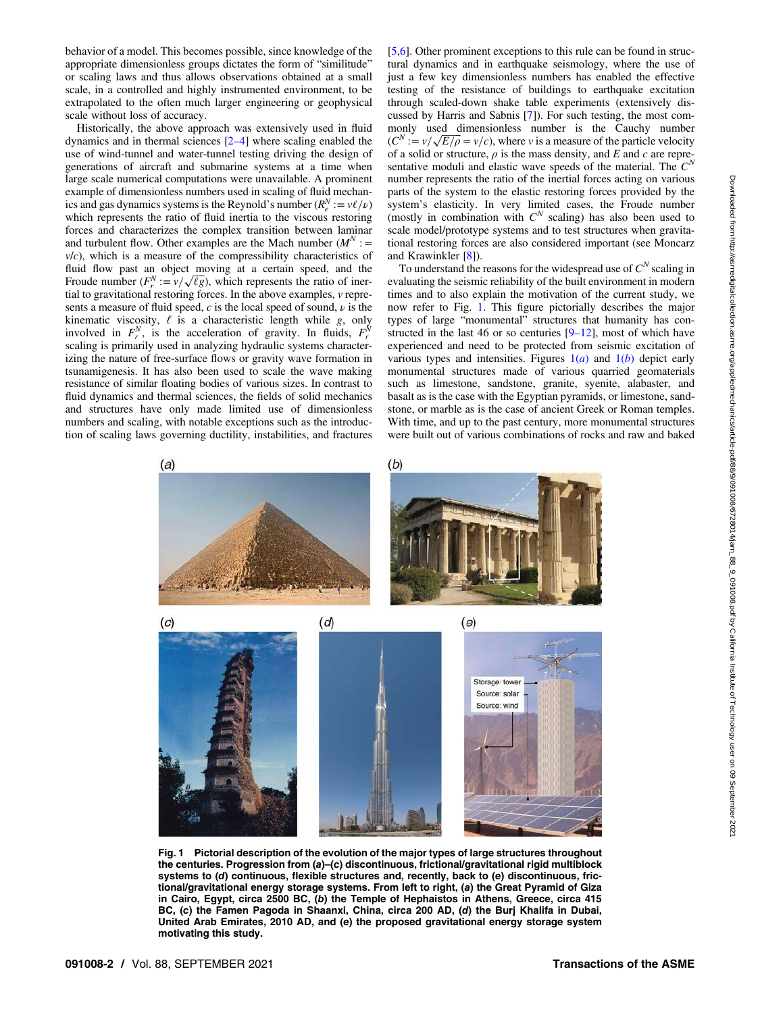<span id="page-1-0"></span>behavior of a model. This becomes possible, since knowledge of the appropriate dimensionless groups dictates the form of "similitude" or scaling laws and thus allows observations obtained at a small scale, in a controlled and highly instrumented environment, to be extrapolated to the often much larger engineering or geophysical scale without loss of accuracy.

Historically, the above approach was extensively used in fluid dynamics and in thermal sciences [2–4] where scaling enabled the use of wind-tunnel and water-tunnel testing driving the design of generations of aircraft and submarine systems at a time when large scale numerical computations were unavailable. A prominent example of dimensionless numbers used in scaling of fluid mechanics and gas dynamics systems is the Reynold's number  $(R_e^N := v\ell/\nu)$ which represents the ratio of fluid inertia to the viscous restoring forces and characterizes the complex transition between laminar and turbulent flow. Other examples are the Mach number  $(M^N)$  :  $v/c$ ), which is a measure of the compressibility characteristics of fluid flow past an object moving at a certain speed, and the Froude number  $(F_r^N := v / \sqrt{\ell g})$ , which represents the ratio of inertial to gravitational restoring forces. In the above examples, v represents a measure of fluid speed,  $c$  is the local speed of sound,  $\nu$  is the kinematic viscosity,  $\ell$  is a characteristic length while g, only involved in  $F_r^N$ , is the acceleration of gravity. In fluids,  $F_r^N$ scaling is primarily used in analyzing hydraulic systems characterizing the nature of free-surface flows or gravity wave formation in tsunamigenesis. It has also been used to scale the wave making resistance of similar floating bodies of various sizes. In contrast to fluid dynamics and thermal sciences, the fields of solid mechanics and structures have only made limited use of dimensionless numbers and scaling, with notable exceptions such as the introduction of scaling laws governing ductility, instabilities, and fractures [[5](#page-17-0),[6](#page-17-0)]. Other prominent exceptions to this rule can be found in structural dynamics and in earthquake seismology, where the use of just a few key dimensionless numbers has enabled the effective testing of the resistance of buildings to earthquake excitation through scaled-down shake table experiments (extensively discussed by Harris and Sabnis [[7](#page-17-0)]). For such testing, the most commonly used dimensionless number is the Cauchy number  $(C^N := v / \sqrt{E/\rho} = v/c)$ , where v is a measure of the particle velocity of a solid or structure,  $\rho$  is the mass density, and E and c are representative moduli and elastic wave speeds of the material. The  $C^N$ number represents the ratio of the inertial forces acting on various parts of the system to the elastic restoring forces provided by the system's elasticity. In very limited cases, the Froude number (mostly in combination with  $C^N$  scaling) has also been used to scale model/prototype systems and to test structures when gravitational restoring forces are also considered important (see Moncarz and Krawinkler [[8](#page-17-0)]).

To understand the reasons for the widespread use of  $C^N$  scaling in evaluating the seismic reliability of the built environment in modern times and to also explain the motivation of the current study, we now refer to Fig. 1. This figure pictorially describes the major types of large "monumental" structures that humanity has constructed in the last 46 or so centuries  $[9-12]$ , most of which have experienced and need to be protected from seismic excitation of various types and intensities. Figures  $1(a)$  and  $1(b)$  depict early monumental structures made of various quarried geomaterials such as limestone, sandstone, granite, syenite, alabaster, and basalt as is the case with the Egyptian pyramids, or limestone, sandstone, or marble as is the case of ancient Greek or Roman temples. With time, and up to the past century, more monumental structures were built out of various combinations of rocks and raw and baked



Fig. 1 Pictorial description of the evolution of the major types of large structures throughout the centuries. Progression from (a)–(c) discontinuous, frictional/gravitational rigid multiblock systems to (d) continuous, flexible structures and, recently, back to (e) discontinuous, frictional/gravitational energy storage systems. From left to right, (a) the Great Pyramid of Giza in Cairo, Egypt, circa 2500 BC, (b) the Temple of Hephaistos in Athens, Greece, circa 415 BC, (c) the Famen Pagoda in Shaanxi, China, circa 200 AD, (d) the Burj Khalifa in Dubai, United Arab Emirates, 2010 AD, and (e) the proposed gravitational energy storage system motivating this study.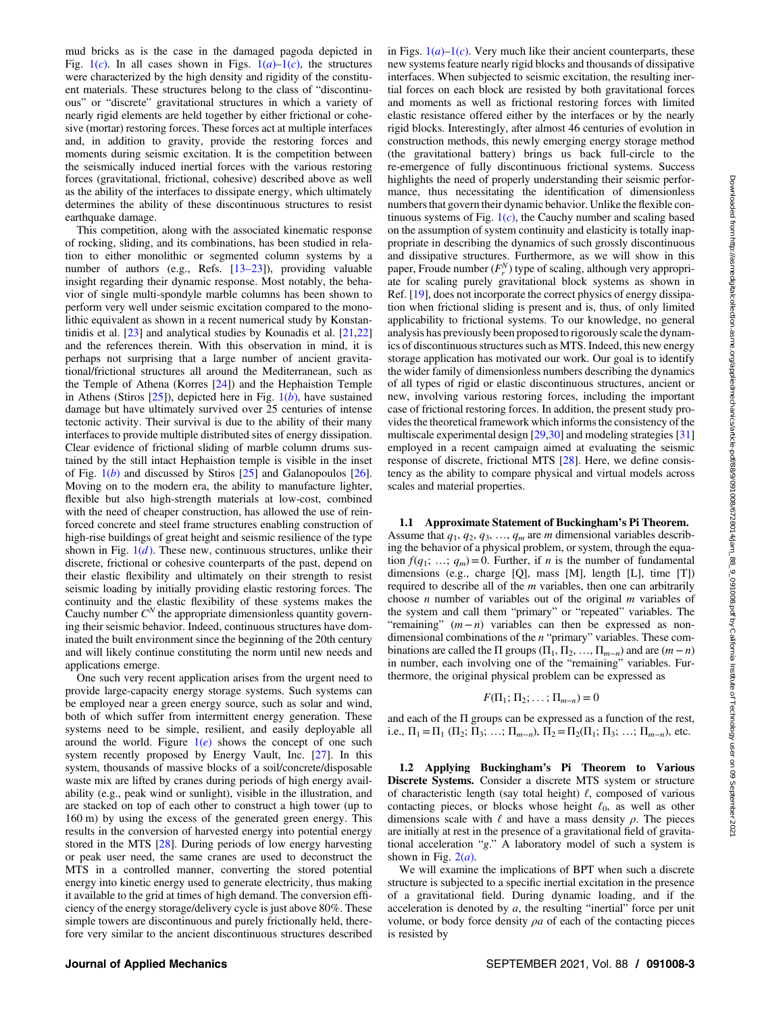mud bricks as is the case in the damaged pagoda depicted in Fig.  $1(c)$  $1(c)$ . In all cases shown in Figs.  $1(a)-1(c)$ , the structures were characterized by the high density and rigidity of the constituent materials. These structures belong to the class of "discontinuous" or "discrete" gravitational structures in which a variety of nearly rigid elements are held together by either frictional or cohesive (mortar) restoring forces. These forces act at multiple interfaces and, in addition to gravity, provide the restoring forces and moments during seismic excitation. It is the competition between the seismically induced inertial forces with the various restoring forces (gravitational, frictional, cohesive) described above as well as the ability of the interfaces to dissipate energy, which ultimately determines the ability of these discontinuous structures to resist earthquake damage.

This competition, along with the associated kinematic response of rocking, sliding, and its combinations, has been studied in relation to either monolithic or segmented column systems by a number of authors (e.g., Refs. [13–23]), providing valuable insight regarding their dynamic response. Most notably, the behavior of single multi-spondyle marble columns has been shown to perform very well under seismic excitation compared to the monolithic equivalent as shown in a recent numerical study by Konstantinidis et al. [[23\]](#page-18-0) and analytical studies by Kounadis et al. [[21,22](#page-18-0)] and the references therein. With this observation in mind, it is perhaps not surprising that a large number of ancient gravitational/frictional structures all around the Mediterranean, such as the Temple of Athena (Korres [[24\]](#page-18-0)) and the Hephaistion Temple in Athens (Stiros  $[25]$  $[25]$ ), depicted here in Fig.  $1(b)$  $1(b)$ , have sustained damage but have ultimately survived over 25 centuries of intense tectonic activity. Their survival is due to the ability of their many interfaces to provide multiple distributed sites of energy dissipation. Clear evidence of frictional sliding of marble column drums sustained by the still intact Hephaistion temple is visible in the inset of Fig.  $1(b)$  $1(b)$  and discussed by Stiros  $[25]$  $[25]$  and Galanopoulos  $[26]$  $[26]$ . Moving on to the modern era, the ability to manufacture lighter, flexible but also high-strength materials at low-cost, combined with the need of cheaper construction, has allowed the use of reinforced concrete and steel frame structures enabling construction of high-rise buildings of great height and seismic resilience of the type shown in Fig.  $1(d)$  $1(d)$ . These new, continuous structures, unlike their discrete, frictional or cohesive counterparts of the past, depend on their elastic flexibility and ultimately on their strength to resist seismic loading by initially providing elastic restoring forces. The continuity and the elastic flexibility of these systems makes the Cauchy number  $C<sup>N</sup>$  the appropriate dimensionless quantity governing their seismic behavior. Indeed, continuous structures have dominated the built environment since the beginning of the 20th century and will likely continue constituting the norm until new needs and applications emerge.

One such very recent application arises from the urgent need to provide large-capacity energy storage systems. Such systems can be employed near a green energy source, such as solar and wind, both of which suffer from intermittent energy generation. These systems need to be simple, resilient, and easily deployable all around the world. Figure  $1(e)$  $1(e)$  shows the concept of one such system recently proposed by Energy Vault, Inc. [\[27](#page-18-0)]. In this system, thousands of massive blocks of a soil/concrete/disposable waste mix are lifted by cranes during periods of high energy availability (e.g., peak wind or sunlight), visible in the illustration, and are stacked on top of each other to construct a high tower (up to 160 m) by using the excess of the generated green energy. This results in the conversion of harvested energy into potential energy stored in the MTS [\[28](#page-18-0)]. During periods of low energy harvesting or peak user need, the same cranes are used to deconstruct the MTS in a controlled manner, converting the stored potential energy into kinetic energy used to generate electricity, thus making it available to the grid at times of high demand. The conversion efficiency of the energy storage/delivery cycle is just above 80%. These simple towers are discontinuous and purely frictionally held, therefore very similar to the ancient discontinuous structures described in Figs.  $1(a)-1(c)$  $1(a)-1(c)$ . Very much like their ancient counterparts, these new systems feature nearly rigid blocks and thousands of dissipative interfaces. When subjected to seismic excitation, the resulting inertial forces on each block are resisted by both gravitational forces and moments as well as frictional restoring forces with limited elastic resistance offered either by the interfaces or by the nearly rigid blocks. Interestingly, after almost 46 centuries of evolution in construction methods, this newly emerging energy storage method (the gravitational battery) brings us back full-circle to the re-emergence of fully discontinuous frictional systems. Success highlights the need of properly understanding their seismic performance, thus necessitating the identification of dimensionless numbers that govern their dynamic behavior. Unlike the flexible continuous systems of Fig.  $1(c)$  $1(c)$ , the Cauchy number and scaling based on the assumption of system continuity and elasticity is totally inappropriate in describing the dynamics of such grossly discontinuous and dissipative structures. Furthermore, as we will show in this paper, Froude number  $(F_r^N)$  type of scaling, although very appropriate for scaling purely gravitational block systems as shown in Ref. [[19\]](#page-18-0), does not incorporate the correct physics of energy dissipation when frictional sliding is present and is, thus, of only limited applicability to frictional systems. To our knowledge, no general analysis has previously been proposed to rigorously scale the dynamics of discontinuous structures such as MTS. Indeed, this new energy storage application has motivated our work. Our goal is to identify the wider family of dimensionless numbers describing the dynamics of all types of rigid or elastic discontinuous structures, ancient or new, involving various restoring forces, including the important case of frictional restoring forces. In addition, the present study provides the theoretical framework which informs the consistency of the multiscale experimental design [[29,30\]](#page-18-0) and modeling strategies [\[31](#page-18-0)] employed in a recent campaign aimed at evaluating the seismic response of discrete, frictional MTS [[28\]](#page-18-0). Here, we define consistency as the ability to compare physical and virtual models across scales and material properties.

#### 1.1 Approximate Statement of Buckingham's Pi Theorem.

Assume that  $q_1, q_2, q_3, ..., q_m$  are m dimensional variables describing the behavior of a physical problem, or system, through the equation  $f(q_1; \ldots; q_m) = 0$ . Further, if *n* is the number of fundamental dimensions (e.g., charge [Q], mass [M], length [L], time [T]) required to describe all of the *m* variables, then one can arbitrarily choose  $n$  number of variables out of the original  $m$  variables of the system and call them "primary" or "repeated" variables. The "remaining"  $(m - n)$  variables can then be expressed as nondimensional combinations of the n "primary" variables. These combinations are called the  $\Pi$  groups ( $\Pi_1, \Pi_2, ..., \Pi_{m-n}$ ) and are  $(m-n)$ in number, each involving one of the "remaining" variables. Furthermore, the original physical problem can be expressed as

$$
F(\Pi_1; \Pi_2; \ldots; \Pi_{m-n}) = 0
$$

and each of the Π groups can be expressed as a function of the rest, i.e.,  $\Pi_1 = \Pi_1 (\Pi_2; \Pi_3; \ldots; \Pi_{m-n}), \Pi_2 = \Pi_2(\Pi_1; \Pi_3; \ldots; \Pi_{m-n}),$  etc.

1.2 Applying Buckingham's Pi Theorem to Various Discrete Systems. Consider a discrete MTS system or structure of characteristic length (say total height)  $\ell$ , composed of various contacting pieces, or blocks whose height  $\ell_0$ , as well as other dimensions scale with  $\ell$  and have a mass density  $\rho$ . The pieces are initially at rest in the presence of a gravitational field of gravitational acceleration "g." A laboratory model of such a system is shown in Fig.  $2(a)$  $2(a)$ .

We will examine the implications of BPT when such a discrete structure is subjected to a specific inertial excitation in the presence of a gravitational field. During dynamic loading, and if the acceleration is denoted by  $a$ , the resulting "inertial" force per unit volume, or body force density  $\rho a$  of each of the contacting pieces is resisted by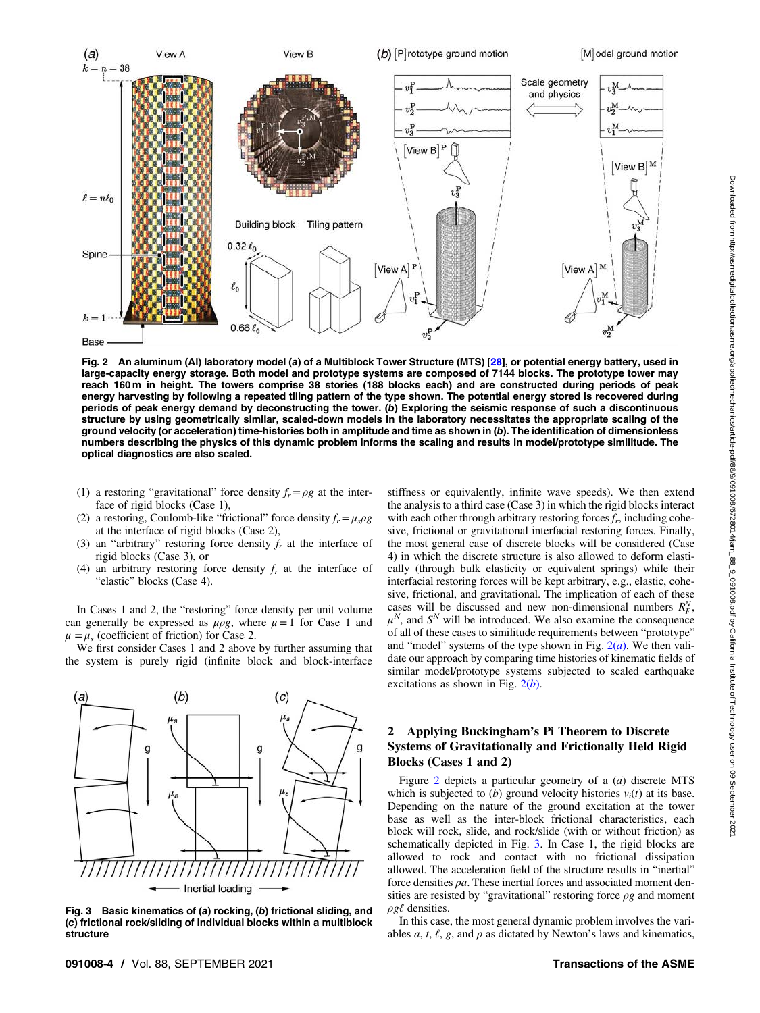<span id="page-3-0"></span>

Fig. 2 An aluminum (Al) laboratory model (a) of a Multiblock Tower Structure (MTS) [\[28](#page-18-0)], or potential energy battery, used in large-capacity energy storage. Both model and prototype systems are composed of 7144 blocks. The prototype tower may reach 160 m in height. The towers comprise 38 stories (188 blocks each) and are constructed during periods of peak energy harvesting by following a repeated tiling pattern of the type shown. The potential energy stored is recovered during periods of peak energy demand by deconstructing the tower. (b) Exploring the seismic response of such a discontinuous structure by using geometrically similar, scaled-down models in the laboratory necessitates the appropriate scaling of the ground velocity (or acceleration) time-histories both in amplitude and time as shown in (b). The identification of dimensionless numbers describing the physics of this dynamic problem informs the scaling and results in model/prototype similitude. The optical diagnostics are also scaled.

- (1) a restoring "gravitational" force density  $f_r = \rho g$  at the interface of rigid blocks (Case 1),
- (2) a restoring, Coulomb-like "frictional" force density  $f_r = \mu_s \rho g$ at the interface of rigid blocks (Case 2),
- (3) an "arbitrary" restoring force density  $f<sub>r</sub>$  at the interface of rigid blocks (Case 3), or
- (4) an arbitrary restoring force density  $f<sub>r</sub>$  at the interface of "elastic" blocks (Case 4).

In Cases 1 and 2, the "restoring" force density per unit volume can generally be expressed as  $\mu \rho g$ , where  $\mu = 1$  for Case 1 and  $\mu = \mu_s$  (coefficient of friction) for Case 2.

We first consider Cases 1 and 2 above by further assuming that the system is purely rigid (infinite block and block-interface



Fig. 3 Basic kinematics of (a) rocking, (b) frictional sliding, and (c) frictional rock/sliding of individual blocks within a multiblock structure

stiffness or equivalently, infinite wave speeds). We then extend the analysis to a third case (Case 3) in which the rigid blocks interact with each other through arbitrary restoring forces  $f_r$ , including cohesive, frictional or gravitational interfacial restoring forces. Finally, the most general case of discrete blocks will be considered (Case 4) in which the discrete structure is also allowed to deform elastically (through bulk elasticity or equivalent springs) while their interfacial restoring forces will be kept arbitrary, e.g., elastic, cohesive, frictional, and gravitational. The implication of each of these cases will be discussed and new non-dimensional numbers  $R_F^N$ ,  $\mu^N$ , and  $S^N$  will be introduced. We also examine the consequence of all of these cases to similitude requirements between "prototype" and "model" systems of the type shown in Fig.  $2(a)$ . We then validate our approach by comparing time histories of kinematic fields of similar model/prototype systems subjected to scaled earthquake excitations as shown in Fig.  $2(b)$ .

### 2 Applying Buckingham's Pi Theorem to Discrete Systems of Gravitationally and Frictionally Held Rigid Blocks (Cases 1 and 2)

Figure 2 depicts a particular geometry of a (a) discrete MTS which is subjected to  $(b)$  ground velocity histories  $v_i(t)$  at its base. Depending on the nature of the ground excitation at the tower base as well as the inter-block frictional characteristics, each block will rock, slide, and rock/slide (with or without friction) as schematically depicted in Fig. 3. In Case 1, the rigid blocks are allowed to rock and contact with no frictional dissipation allowed. The acceleration field of the structure results in "inertial" force densities  $\rho a$ . These inertial forces and associated moment densities are resisted by "gravitational" restoring force  $\rho g$  and moment  $\rho g\ell$  densities.

In this case, the most general dynamic problem involves the variables a, t,  $\ell$ , g, and  $\rho$  as dictated by Newton's laws and kinematics,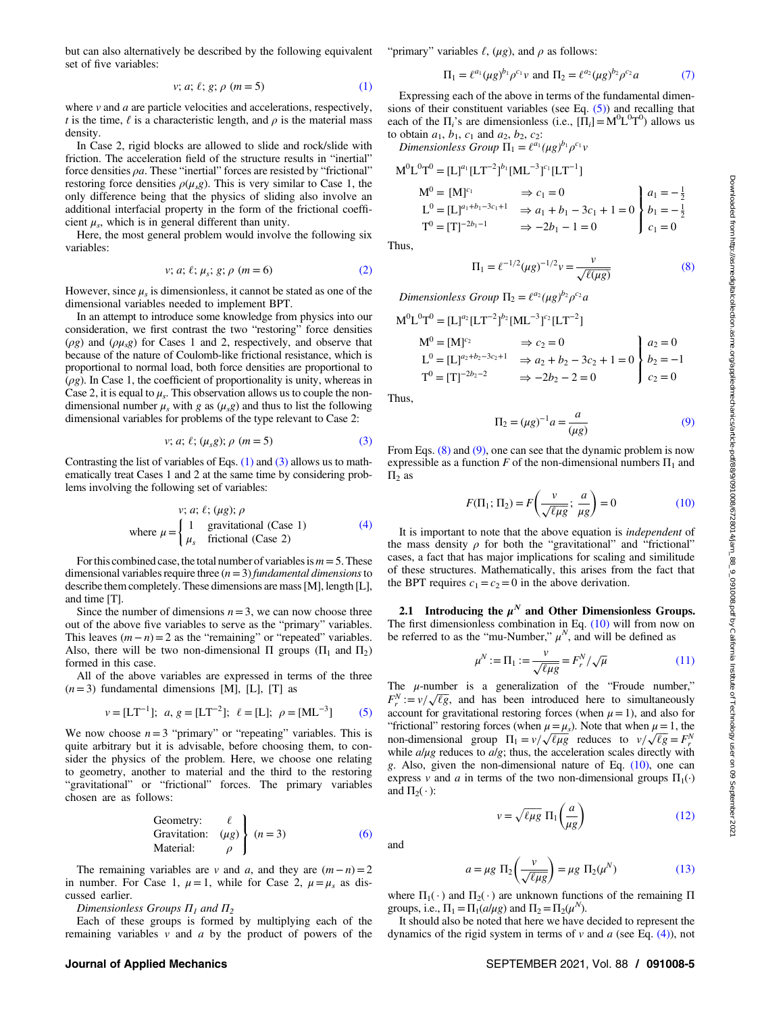$$
v; a; \ell; g; \rho \ (m = 5)
$$
 (1)

<span id="page-4-0"></span>where  $\nu$  and  $a$  are particle velocities and accelerations, respectively, t is the time,  $\ell$  is a characteristic length, and  $\rho$  is the material mass density.

In Case 2, rigid blocks are allowed to slide and rock/slide with friction. The acceleration field of the structure results in "inertial" force densities  $\rho a$ . These "inertial" forces are resisted by "frictional" restoring force densities  $\rho(\mu_s g)$ . This is very similar to Case 1, the only difference being that the physics of sliding also involve an additional interfacial property in the form of the frictional coefficient  $\mu_s$ , which is in general different than unity.

Here, the most general problem would involve the following six variables:

$$
v; a; \ell; \mu_s; g; \rho \ (m = 6)
$$
 (2)

However, since  $\mu_s$  is dimensionless, it cannot be stated as one of the dimensional variables needed to implement BPT.

In an attempt to introduce some knowledge from physics into our consideration, we first contrast the two "restoring" force densities  $(\rho g)$  and  $(\rho \mu_s g)$  for Cases 1 and 2, respectively, and observe that because of the nature of Coulomb-like frictional resistance, which is proportional to normal load, both force densities are proportional to  $(\rho g)$ . In Case 1, the coefficient of proportionality is unity, whereas in Case 2, it is equal to  $\mu_s$ . This observation allows us to couple the nondimensional number  $\mu_s$  with g as  $(\mu_s g)$  and thus to list the following dimensional variables for problems of the type relevant to Case 2:

$$
v; a; \ell; (\mu_s g); \rho \ (m = 5)
$$
 (3)

Contrasting the list of variables of Eqs.  $(1)$  and  $(3)$  allows us to mathematically treat Cases 1 and 2 at the same time by considering problems involving the following set of variables:

$$
v; a; \ell; (\mu g); \rho
$$
  
where  $\mu = \begin{cases} 1 & \text{gravitational (Case 1)} \\ \mu_s & \text{frictional (Case 2)} \end{cases}$  (4)

For this combined case, the total number of variables is  $m = 5$ . These dimensional variables require three  $(n=3)$  fundamental dimensions to describe them completely. These dimensions are mass [M], length [L], and time [T].

Since the number of dimensions  $n=3$ , we can now choose three out of the above five variables to serve as the "primary" variables. This leaves  $(m - n) = 2$  as the "remaining" or "repeated" variables. Also, there will be two non-dimensional  $\Pi$  groups ( $\Pi_1$  and  $\Pi_2$ ) formed in this case.

All of the above variables are expressed in terms of the three  $(n=3)$  fundamental dimensions [M], [L], [T] as

$$
v = [LT^{-1}]
$$
;  $a, g = [LT^{-2}]$ ;  $\ell = [L]$ ;  $\rho = [ML^{-3}]$  (5)

We now choose  $n=3$  "primary" or "repeating" variables. This is quite arbitrary but it is advisable, before choosing them, to consider the physics of the problem. Here, we choose one relating to geometry, another to material and the third to the restoring "gravitational" or "frictional" forces. The primary variables chosen are as follows:

Geometry: 
$$
\ell
$$
  
Gravitation:  $(\mu g)$  $\left\{ (n=3) \right\}$  (6)   
Material:  $\rho$ 

The remaining variables are v and a, and they are  $(m - n) = 2$ in number. For Case 1,  $\mu = 1$ , while for Case 2,  $\mu = \mu_s$  as discussed earlier.

Dimensionless Groups  $\Pi_1$  and  $\Pi_2$ 

Each of these groups is formed by multiplying each of the remaining variables  $v$  and  $a$  by the product of powers of the

#### "primary" variables  $\ell$ ,  $(\mu g)$ , and  $\rho$  as follows:

$$
\Pi_1 = \ell^{a_1} (\mu g)^{b_1} \rho^{c_1} \nu \text{ and } \Pi_2 = \ell^{a_2} (\mu g)^{b_2} \rho^{c_2} a \tag{7}
$$

Expressing each of the above in terms of the fundamental dimensions of their constituent variables (see Eq.  $(5)$ ) and recalling that each of the  $\Pi_i$ 's are dimensionless (i.e.,  $[\Pi_i] = M^0 L^0 T^0$ ) allows us to obtain  $a_1, b_1, c_1$  and  $a_2, b_2, c_2$ :

Dimensionless Group  $\Pi_1 = \ell^{a_1}(\mu g)^{b_1} \rho^{c_1} v$ 

$$
M^{0}L^{0}T^{0} = [L]^{a_{1}}[LT^{-2}]^{b_{1}}[ML^{-3}]^{c_{1}}[LT^{-1}]
$$
  
\n
$$
M^{0} = [M]^{c_{1}} \Rightarrow c_{1} = 0
$$
  
\n
$$
L^{0} = [L]^{a_{1}+b_{1}-3c_{1}+1} \Rightarrow a_{1} + b_{1} - 3c_{1} + 1 = 0
$$
  
\n
$$
T^{0} = [T]^{-2b_{1}-1} \Rightarrow -2b_{1} - 1 = 0
$$
  
\n
$$
C_{1} = 0
$$

Thus,

M<sup>0</sup>

$$
\Pi_1 = \ell^{-1/2} (\mu g)^{-1/2} v = \frac{v}{\sqrt{\ell(\mu g)}} \tag{8}
$$

Dimensionless Group  $\Pi_2 = \ell^{a_2}(\mu g)^{b_2} \rho^{c_2} a$ 

$$
I^{0}L^{0}T^{0} = [L]^{a_{2}}[LT^{-2}]^{b_{2}}[ML^{-3}]^{c_{2}}[LT^{-2}]
$$
  
\n
$$
M^{0} = [M]^{c_{2}} \implies c_{2} = 0
$$
  
\n
$$
L^{0} = [L]^{a_{2}+b_{2}-3c_{2}+1} \implies a_{2} + b_{2} - 3c_{2} + 1 = 0
$$
  
\n
$$
T^{0} = [T]^{-2b_{2}-2} \implies -2b_{2} - 2 = 0
$$
  
\n
$$
A_{2} = 0
$$
  
\n
$$
b_{2} = -1
$$
  
\n
$$
C_{2} = 0
$$

Thus,

$$
\Pi_2 = (\mu g)^{-1} a = \frac{a}{(\mu g)}
$$
 (9)

From Eqs.  $(8)$  and  $(9)$ , one can see that the dynamic problem is now expressible as a function F of the non-dimensional numbers  $\Pi_1$  and  $\Pi$ <sub>2</sub> as

$$
F(\Pi_1; \Pi_2) = F\left(\frac{v}{\sqrt{\ell\mu g}}; \frac{a}{\mu g}\right) = 0
$$
 (10)

It is important to note that the above equation is independent of the mass density  $\rho$  for both the "gravitational" and "frictional" cases, a fact that has major implications for scaling and similitude of these structures. Mathematically, this arises from the fact that the BPT requires  $c_1 = c_2 = 0$  in the above derivation.

2.1 Introducing the  $\mu^N$  and Other Dimensionless Groups. The first dimensionless combination in Eq. (10) will from now on be referred to as the "mu-Number,"  $\mu^N$ , and will be defined as

$$
\mu^N := \Pi_1 := \frac{\nu}{\sqrt{\ell \mu g}} = F_r^N / \sqrt{\mu}
$$
\n(11)

The  $\mu$ -number is a generalization of the "Froude number,"  $F_r^N := v / \sqrt{\ell g}$ , and has been introduced here to simultaneously account for gravitational restoring forces (when  $\mu = 1$ ), and also for "frictional" restoring forces (when  $\mu = \mu_s$ ). Note that when  $\mu = 1$ , the non-dimensional group  $\Pi_1 = v / \sqrt{\ell \mu g}$  reduces to  $v / \sqrt{\ell g} = F_r^N$ while  $a/\mu$ g reduces to  $a/g$ ; thus, the acceleration scales directly with g. Also, given the non-dimensional nature of Eq. (10), one can express v and a in terms of the two non-dimensional groups  $\Pi_1(\cdot)$ and  $\Pi_2(\cdot)$ :

$$
v = \sqrt{\ell \mu g} \, \Pi_1 \left( \frac{a}{\mu g} \right) \tag{12}
$$

$$
a = \mu g \, \Pi_2 \left( \frac{v}{\sqrt{\ell \mu g}} \right) = \mu g \, \Pi_2(\mu^N) \tag{13}
$$

where  $\Pi_1(\cdot)$  and  $\Pi_2(\cdot)$  are unknown functions of the remaining  $\Pi$ groups, i.e.,  $\Pi_1 = \Pi_1(a/\mu g)$  and  $\Pi_2 = \Pi_2(\mu^N)$ .

It should also be noted that here we have decided to represent the dynamics of the rigid system in terms of  $v$  and  $a$  (see Eq. (4)), not

and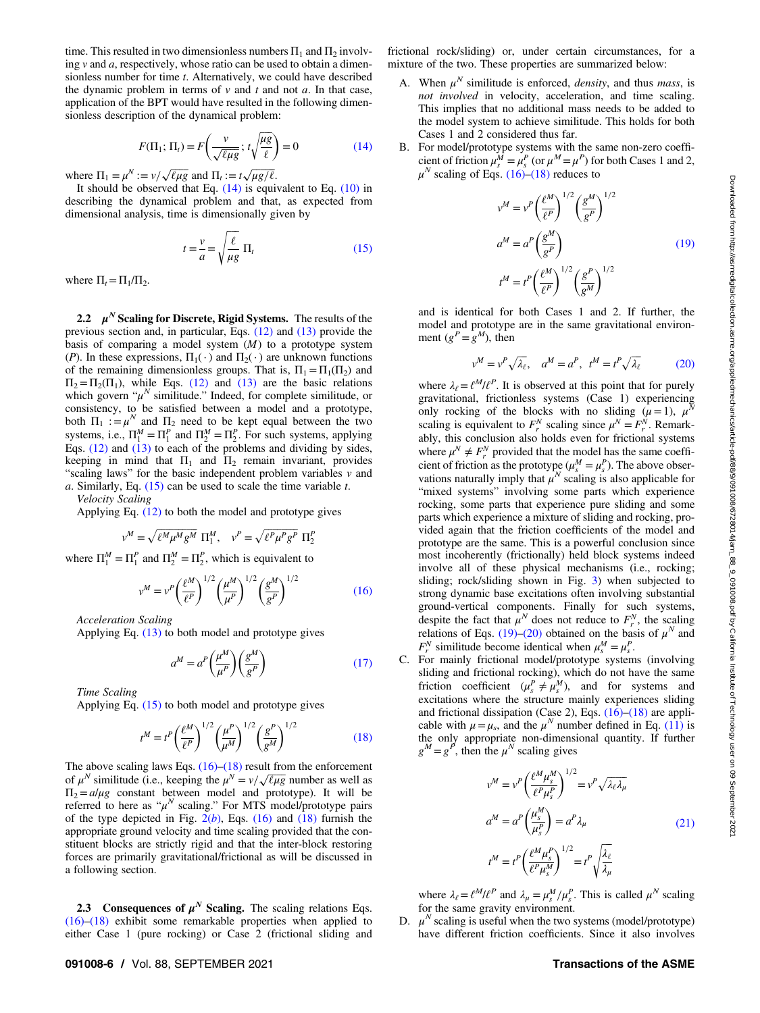<span id="page-5-0"></span>time. This resulted in two dimensionless numbers  $\Pi_1$  and  $\Pi_2$  involving  $\nu$  and  $a$ , respectively, whose ratio can be used to obtain a dimensionless number for time t. Alternatively, we could have described the dynamic problem in terms of  $v$  and  $t$  and not  $a$ . In that case, application of the BPT would have resulted in the following dimensionless description of the dynamical problem:

$$
F(\Pi_1; \Pi_t) = F\left(\frac{v}{\sqrt{\ell\mu g}}; t\sqrt{\frac{\mu g}{\ell}}\right) = 0\tag{14}
$$

where  $\Pi_1 = \mu^N := v / \sqrt{\ell \mu g}$  and  $\Pi_t := t \sqrt{\mu g / \ell}$ .

It should be observed that Eq.  $(14)$  is equivalent to Eq.  $(10)$  in describing the dynamical problem and that, as expected from dimensional analysis, time is dimensionally given by

$$
t = \frac{v}{a} = \sqrt{\frac{\ell}{\mu g}} \Pi_t
$$
 (15)

where  $\Pi_t = \Pi_1/\Pi_2$ .

2.2  $\mu^N$  Scaling for Discrete, Rigid Systems. The results of the previous section and, in particular, Eqs. [\(12\)](#page-4-0) and [\(13\)](#page-4-0) provide the basis of comparing a model system  $(M)$  to a prototype system (P). In these expressions,  $\Pi_1(\cdot)$  and  $\Pi_2(\cdot)$  are unknown functions of the remaining dimensionless groups. That is,  $\Pi_1 = \Pi_1(\Pi_2)$  and  $\Pi_2 = \Pi_2(\Pi_1)$ , while Eqs. [\(12\)](#page-4-0) and [\(13\)](#page-4-0) are the basic relations which govern " $\mu^N$  similitude." Indeed, for complete similitude, or consistency, to be satisfied between a model and a prototype, both  $\Pi_1 := \mu^N$  and  $\Pi_2$  need to be kept equal between the two systems, i.e.,  $\Pi_1^M = \Pi_1^P$  and  $\Pi_2^M = \Pi_2^P$ . For such systems, applying Eqs.  $(12)$  and  $(13)$  to each of the problems and dividing by sides, keeping in mind that  $\Pi_1$  and  $\Pi_2$  remain invariant, provides "scaling laws" for the basic independent problem variables  $\nu$  and a. Similarly, Eq.  $(15)$  can be used to scale the time variable t.

Velocity Scaling

Applying Eq. [\(12\)](#page-4-0) to both the model and prototype gives

$$
v^M = \sqrt{\ell^M \mu^M g^M} \ \Pi^M_1, \quad v^P = \sqrt{\ell^P \mu^P g^P} \ \Pi^P_2
$$

where  $\Pi_1^M = \Pi_1^P$  and  $\Pi_2^M = \Pi_2^P$ , which is equivalent to

$$
v^{M} = v^{P} \left(\frac{\ell^{M}}{\ell^{P}}\right)^{1/2} \left(\frac{\mu^{M}}{\mu^{P}}\right)^{1/2} \left(\frac{g^{M}}{g^{P}}\right)^{1/2}
$$
(16)

Acceleration Scaling

Applying Eq. [\(13\)](#page-4-0) to both model and prototype gives

$$
a^M = a^P \left(\frac{\mu^M}{\mu^P}\right) \left(\frac{g^M}{g^P}\right) \tag{17}
$$

Time Scaling

Applying Eq. (15) to both model and prototype gives

$$
t^{M} = t^{P} \left(\frac{\ell^{M}}{\ell^{P}}\right)^{1/2} \left(\frac{\mu^{P}}{\mu^{M}}\right)^{1/2} \left(\frac{g^{P}}{g^{M}}\right)^{1/2}
$$
(18)

The above scaling laws Eqs.  $(16)$ – $(18)$  result from the enforcement of  $\mu^N$  similitude (i.e., keeping the  $\mu^N = v / \sqrt{\ell \mu g}$  number as well as  $\Pi_2 = a/\mu g$  constant between model and prototype). It will be referred to here as " $\mu^N$  scaling." For MTS model/prototype pairs of the type depicted in Fig.  $2(b)$  $2(b)$ , Eqs. (16) and (18) furnish the appropriate ground velocity and time scaling provided that the constituent blocks are strictly rigid and that the inter-block restoring forces are primarily gravitational/frictional as will be discussed in a following section.

2.3 Consequences of  $\mu^N$  Scaling. The scaling relations Eqs. (16)–(18) exhibit some remarkable properties when applied to either Case 1 (pure rocking) or Case 2 (frictional sliding and frictional rock/sliding) or, under certain circumstances, for a mixture of the two. These properties are summarized below:

- A. When  $\mu^N$  similitude is enforced, *density*, and thus *mass*, is not involved in velocity, acceleration, and time scaling. This implies that no additional mass needs to be added to the model system to achieve similitude. This holds for both Cases 1 and 2 considered thus far.
- B. For model/prototype systems with the same non-zero coefficient of friction  $\mu_s^M = \mu_s^P$  (or  $\mu^M = \mu^P$ ) for both Cases 1 and 2,  $\mu^N$  scaling of Eqs. (16)–(18) reduces to

$$
v^M = v^P \left(\frac{\ell^M}{\ell^P}\right)^{1/2} \left(\frac{g^M}{g^P}\right)^{1/2}
$$

$$
a^M = a^P \left(\frac{g^M}{g^P}\right)
$$

$$
t^M = t^P \left(\frac{\ell^M}{\ell^P}\right)^{1/2} \left(\frac{g^P}{g^M}\right)^{1/2}
$$
(19)

and is identical for both Cases 1 and 2. If further, the model and prototype are in the same gravitational environment  $(g^P = g^M)$ , then

$$
v^M = v^P \sqrt{\lambda_{\ell}}, \quad a^M = a^P, \quad t^M = t^P \sqrt{\lambda_{\ell}} \tag{20}
$$

where  $\lambda_{\ell} = \ell^{M}/\ell^{P}$ . It is observed at this point that for purely gravitational, frictionless systems (Case 1) experiencing only rocking of the blocks with no sliding  $(\mu = 1)$ ,  $\mu'$ scaling is equivalent to  $F_r^N$  scaling since  $\mu^N = F_r^N$ . Remarkably, this conclusion also holds even for frictional systems where  $\mu^N \neq F_r^N$  provided that the model has the same coefficient of friction as the prototype  $(\mu_s^M = \mu_s^P)$ . The above observations naturally imply that  $\mu^N$  scaling is also applicable for "mixed systems" involving some parts which experience rocking, some parts that experience pure sliding and some parts which experience a mixture of sliding and rocking, provided again that the friction coefficients of the model and prototype are the same. This is a powerful conclusion since most incoherently (frictionally) held block systems indeed involve all of these physical mechanisms (i.e., rocking; sliding; rock/sliding shown in Fig. [3](#page-3-0)) when subjected to strong dynamic base excitations often involving substantial ground-vertical components. Finally for such systems, despite the fact that  $\mu^N$  does not reduce to  $F_r^N$ , the scaling relations of Eqs. (19)–(20) obtained on the basis of  $\mu^N$  and  $F_r^N$  similitude become identical when  $\mu_s^M = \mu_s^P$ .

C. For mainly frictional model/prototype systems (involving sliding and frictional rocking), which do not have the same friction coefficient  $(\mu_s^P \neq \mu_s^M)$ , and for systems and excitations where the structure mainly experiences sliding and frictional dissipation (Case 2), Eqs. (16)–(18) are applicable with  $\mu = \mu_s$ , and the  $\mu^N$  number defined in Eq. [\(11\)](#page-4-0) is the only appropriate non-dimensional quantity. If further  $g^M = g^P$ , then the  $\mu^N$  scaling gives

$$
v^M = v^P \left(\frac{\ell^M \mu_s^M}{\ell^P \mu_s^P}\right)^{1/2} = v^P \sqrt{\lambda_\ell \lambda_\mu}
$$
  
\n
$$
a^M = a^P \left(\frac{\mu_s^M}{\mu_s^P}\right) = a^P \lambda_\mu
$$
  
\n
$$
t^M = t^P \left(\frac{\ell^M \mu_s^P}{\ell^P \mu_s^M}\right)^{1/2} = t^P \sqrt{\frac{\lambda_\ell}{\lambda_\mu}}
$$
\n(21)

where  $\lambda_{\ell} = \ell^{M}/\ell^{P}$  and  $\lambda_{\mu} = \mu_{s}^{M}/\mu_{s}^{P}$ . This is called  $\mu^{N}$  scaling for the same gravity environment.

D.  $\mu^N$  scaling is useful when the two systems (model/prototype) have different friction coefficients. Since it also involves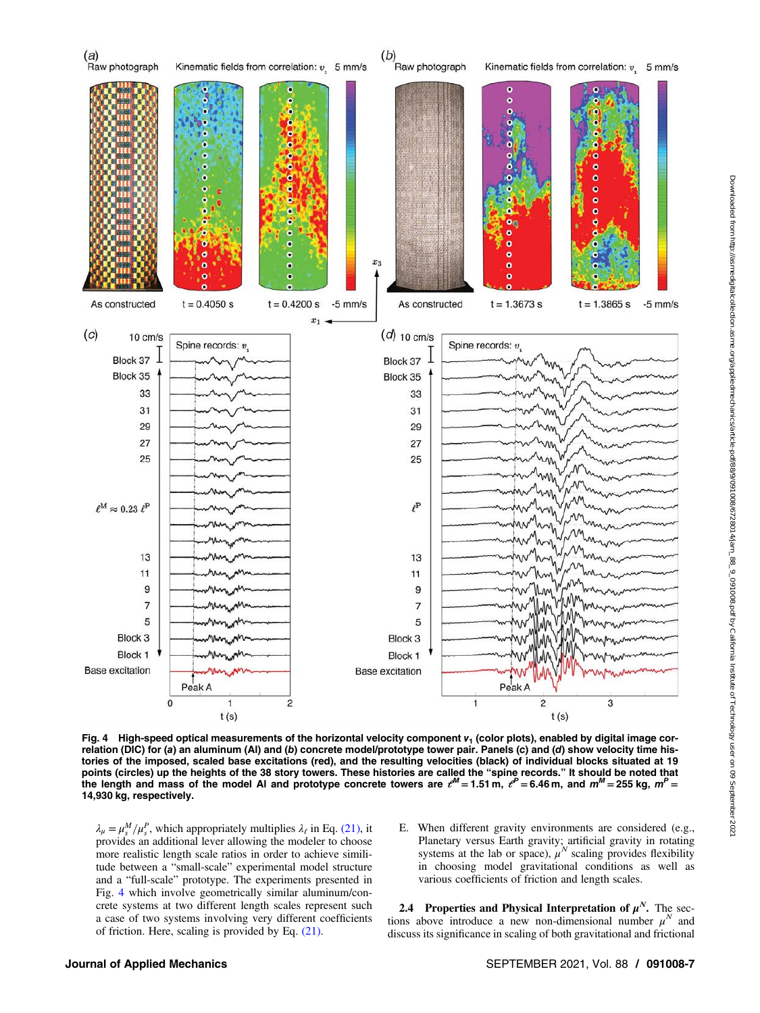<span id="page-6-0"></span>

Fig. 4 High-speed optical measurements of the horizontal velocity component  $v_1$  (color plots), enabled by digital image correlation (DIC) for (a) an aluminum (Al) and (b) concrete model/prototype tower pair. Panels (c) and (d) show velocity time histories of the imposed, scaled base excitations (red), and the resulting velocities (black) of individual blocks situated at 19 points (circles) up the heights of the 38 story towers. These histories are called the "spine records." It should be noted that the length and mass of the model Al and prototype concrete towers are  $e^M = 1.51$  m,  $e^P = 6.46$  m, and  $m^M = 255$  kg,  $m^P =$ 14,930 kg, respectively.

 $\lambda_{\mu} = \mu_s^M / \mu_s^P$ , which appropriately multiplies  $\lambda_{\ell}$  in Eq. [\(21\)](#page-5-0), it provides an additional lever allowing the modeler to choose more realistic length scale ratios in order to achieve similitude between a "small-scale" experimental model structure and a "full-scale" prototype. The experiments presented in Fig. 4 which involve geometrically similar aluminum/concrete systems at two different length scales represent such a case of two systems involving very different coefficients of friction. Here, scaling is provided by Eq. [\(21\).](#page-5-0)

E. When different gravity environments are considered (e.g., Planetary versus Earth gravity; artificial gravity in rotating systems at the lab or space),  $\mu^N$  scaling provides flexibility in choosing model gravitational conditions as well as various coefficients of friction and length scales.

2.4 Properties and Physical Interpretation of  $\mu^N$ . The sections above introduce a new non-dimensional number  $\mu^N$  and discuss its significance in scaling of both gravitational and frictional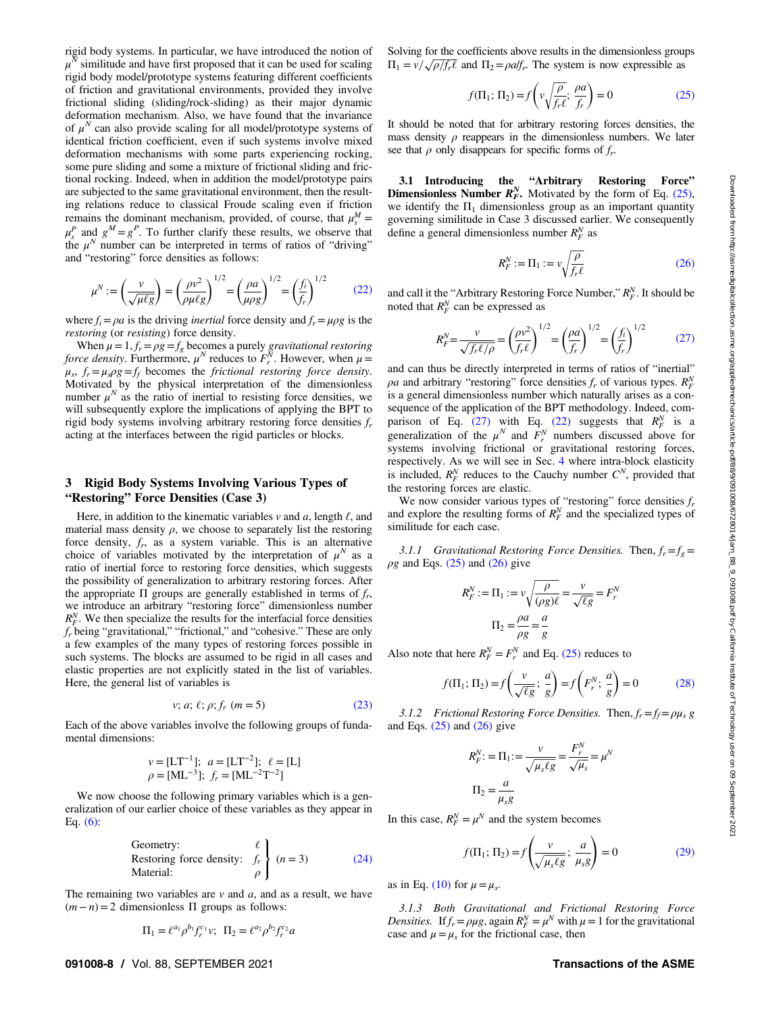<span id="page-7-0"></span>rigid body systems. In particular, we have introduced the notion of  $\mu^N$  similitude and have first proposed that it can be used for scaling rigid body model/prototype systems featuring different coefficients of friction and gravitational environments, provided they involve frictional sliding (sliding/rock-sliding) as their major dynamic deformation mechanism. Also, we have found that the invariance of  $\mu^N$  can also provide scaling for all model/prototype systems of identical friction coefficient, even if such systems involve mixed deformation mechanisms with some parts experiencing rocking, some pure sliding and some a mixture of frictional sliding and frictional rocking. Indeed, when in addition the model/prototype pairs are subjected to the same gravitational environment, then the resulting relations reduce to classical Froude scaling even if friction remains the dominant mechanism, provided, of course, that  $\mu_s^M$  =  $\mu_s^P$  and  $g^M = g^P$ . To further clarify these results, we observe that the  $\mu^N$  number can be interpreted in terms of ratios of "driving" and "restoring" force densities as follows:

$$
\mu^N := \left(\frac{v}{\sqrt{\mu\ell g}}\right) = \left(\frac{\rho v^2}{\rho \mu\ell g}\right)^{1/2} = \left(\frac{\rho a}{\mu\rho g}\right)^{1/2} = \left(\frac{f_i}{f_r}\right)^{1/2} \tag{22}
$$

where  $f_i = \rho a$  is the driving *inertial* force density and  $f_r = \mu \rho g$  is the restoring (or resisting) force density.

When  $\mu = 1, f_r = \rho g = f_g$  becomes a purely *gravitational restoring* force density. Furthermore,  $\mu^N$  reduces to  $F_r^N$ . However, when  $\mu =$  $\mu_s$ ,  $f_r = \mu_s \rho g = f_f$  becomes the frictional restoring force density. Motivated by the physical interpretation of the dimensionless<br>number  $\mu^N$  as the ratio of inertial to resisting force densities, we will subsequently explore the implications of applying the BPT to rigid body systems involving arbitrary restoring force densities  $f_r$ acting at the interfaces between the rigid particles or blocks.

### 3 Rigid Body Systems Involving Various Types of "Restoring" Force Densities (Case 3)

Here, in addition to the kinematic variables  $\nu$  and  $a$ , length  $\ell$ , and material mass density  $\rho$ , we choose to separately list the restoring force density,  $f_r$ , as a system variable. This is an alternative choice of variables motivated by the interpretation of  $\mu^N$  as a ratio of inertial force to restoring force densities, which suggests the possibility of generalization to arbitrary restoring forces. After the appropriate  $\Pi$  groups are generally established in terms of  $f_r$ , we introduce an arbitrary "restoring force" dimensionless number  $R_F^N$ . We then specialize the results for the interfacial force densities  $f_r$  being "gravitational," "frictional," and "cohesive." These are only a few examples of the many types of restoring forces possible in such systems. The blocks are assumed to be rigid in all cases and elastic properties are not explicitly stated in the list of variables. Here, the general list of variables is

$$
v; a; \ell; \rho; f_r \ (m=5) \tag{23}
$$

Each of the above variables involve the following groups of fundamental dimensions:

$$
v = [LT^{-1}]
$$
;  $a = [LT^{-2}]$ ;  $\ell = [L]$   
 $\rho = [ML^{-3}]$ ;  $f_r = [ML^{-2}T^{-2}]$ 

We now choose the following primary variables which is a generalization of our earlier choice of these variables as they appear in Eq.  $(6)$ :

Geometry: 
$$
\ell
$$
  
Restoring force density:  $f_r$  $\left\{\n \begin{array}{l}\n (n = 3) \\
\rho \end{array}\n \right.$ \n(24)

The remaining two variables are  $v$  and  $a$ , and as a result, we have  $(m-n)=2$  dimensionless  $\Pi$  groups as follows:

$$
\Pi_1 = \ell^{a_1} \rho^{b_1} f_r^{c_1} v; \ \ \Pi_2 = \ell^{a_2} \rho^{b_2} f_r^{c_2} a
$$

Solving for the coefficients above results in the dimensionless groups  $\Pi_1 = v / \sqrt{\rho / f_r \ell}$  and  $\Pi_2 = \rho a / f_r$ . The system is now expressible as

$$
f(\Pi_1; \Pi_2) = f\left(v\sqrt{\frac{\rho}{f_r \ell}}; \frac{\rho a}{f_r}\right) = 0
$$
 (25)

It should be noted that for arbitrary restoring forces densities, the mass density  $\rho$  reappears in the dimensionless numbers. We later see that  $\rho$  only disappears for specific forms of  $f_r$ .

3.1 Introducing the "Arbitrary Restoring Force" **Dimensionless Number**  $R_F^N$ **.** Motivated by the form of Eq. (25), we identify the  $\Pi_1$  dimensionless group as an important quantity governing similitude in Case 3 discussed earlier. We consequently define a general dimensionless number  $R_F^N$  as

$$
R_F^N := \Pi_1 := v \sqrt{\frac{\rho}{f_r \ell}} \tag{26}
$$

and call it the "Arbitrary Restoring Force Number,"  $R_F^N$ . It should be noted that  $R_F^N$  can be expressed as

$$
R_F^N = \frac{v}{\sqrt{f_r \ell/\rho}} = \left(\frac{\rho v^2}{f_r \ell}\right)^{1/2} = \left(\frac{\rho a}{f_r}\right)^{1/2} = \left(\frac{f_i}{f_r}\right)^{1/2} \tag{27}
$$

and can thus be directly interpreted in terms of ratios of "inertial"  $\rho a$  and arbitrary "restoring" force densities  $f_r$  of various types.  $R_F^N$ is a general dimensionless number which naturally arises as a consequence of the application of the BPT methodology. Indeed, comparison of Eq. (27) with Eq. (22) suggests that  $R_F^N$  is a generalization of the  $\mu^N$  and  $F_r^N$  numbers discussed above for systems involving frictional or gravitational restoring forces, respectively. As we will see in Sec. [4](#page-8-0) where intra-block elasticity is included,  $R_F^N$  reduces to the Cauchy number  $C^N$ , provided that the restoring forces are elastic.

We now consider various types of "restoring" force densities  $f_r$ and explore the resulting forms of  $R_F^N$  and the specialized types of similitude for each case.

3.1.1 Gravitational Restoring Force Densities. Then,  $f_r = f_\varphi =$  $\rho$ g and Eqs. (25) and (26) give

$$
R_F^N := \Pi_1 := v \sqrt{\frac{\rho}{(\rho g)\ell}} = \frac{v}{\sqrt{\ell g}} = F_r^N
$$

$$
\Pi_2 = \frac{\rho a}{\rho g} = \frac{a}{g}
$$

Also note that here  $R_F^N = F_r^N$  and Eq. (25) reduces to

$$
f(\Pi_1; \Pi_2) = f\left(\frac{v}{\sqrt{\ell g}}; \frac{a}{g}\right) = f\left(F_r^N; \frac{a}{g}\right) = 0 \tag{28}
$$

3.1.2 Frictional Restoring Force Densities. Then,  $f_r = f_f = \rho \mu_s g$ and Eqs.  $(25)$  and  $(26)$  give

$$
R_F^N := \Pi_1 := \frac{v}{\sqrt{\mu_s \ell g}} = \frac{F_r^N}{\sqrt{\mu_s}} = \mu^N
$$

$$
\Pi_2 = \frac{a}{\mu_s g}
$$

In this case,  $R_F^N = \mu^N$  and the system becomes

$$
f(\Pi_1; \Pi_2) = f\left(\frac{v}{\sqrt{\mu_s \ell g}}; \frac{a}{\mu_s g}\right) = 0
$$
 (29)

as in Eq. [\(10\)](#page-4-0) for  $\mu = \mu_s$ .

3.1.3 Both Gravitational and Frictional Restoring Force Densities. If  $f_r = \rho \mu g$ , again  $R_F^N = \mu^N$  with  $\mu = 1$  for the gravitational case and  $\mu = \mu_s$  for the frictional case, then

#### 091008-8 / Vol. 88, SEPTEMBER 2021 **Transactions of the ASME**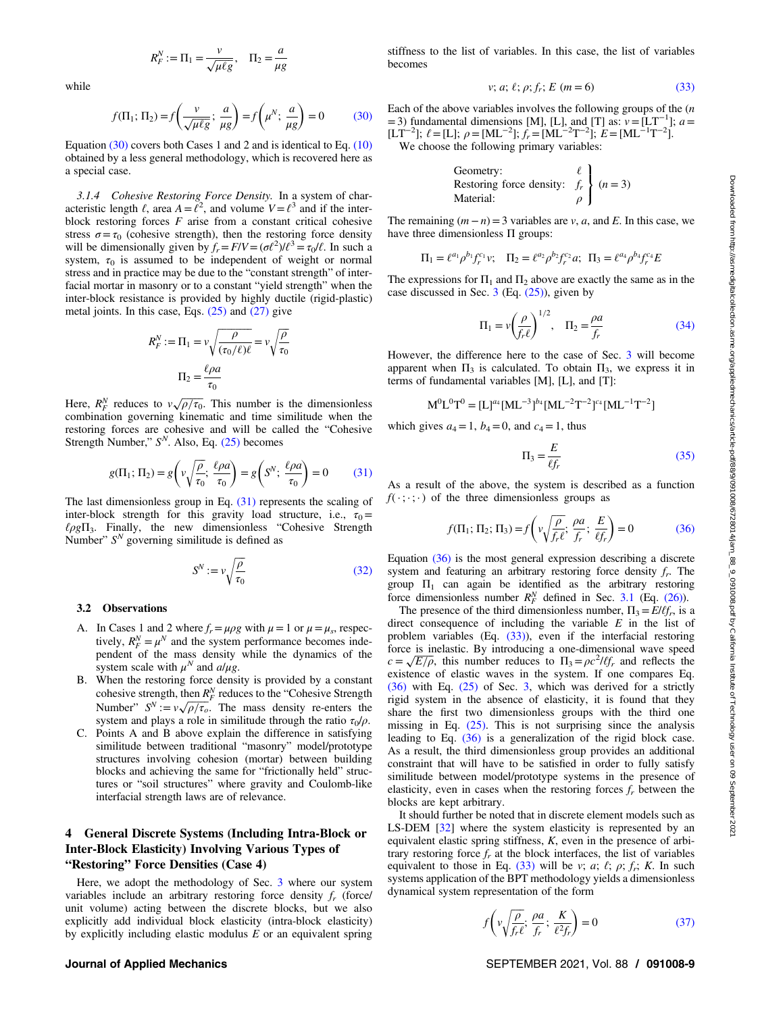$$
R_F^N := \Pi_1 = \frac{v}{\sqrt{\mu \ell g}}, \quad \Pi_2 = \frac{a}{\mu g}
$$

<span id="page-8-0"></span>while

$$
f(\Pi_1; \Pi_2) = f\left(\frac{v}{\sqrt{\mu \ell g}}; \frac{a}{\mu g}\right) = f\left(\mu^N; \frac{a}{\mu g}\right) = 0 \tag{30}
$$

Equation (30) covers both Cases 1 and 2 and is identical to Eq. [\(10\)](#page-4-0) obtained by a less general methodology, which is recovered here as a special case.

3.1.4 Cohesive Restoring Force Density. In a system of characteristic length  $\ell$ , area  $A = \ell^2$ , and volume  $V = \ell^3$  and if the interblock restoring forces  $F$  arise from a constant critical cohesive stress  $\sigma = \tau_0$  (cohesive strength), then the restoring force density will be dimensionally given by  $f_r = F/V = (\sigma \ell^2) / \ell^3 = \tau_0 / \ell$ . In such a system,  $\tau_0$  is assumed to be independent of weight or normal stress and in practice may be due to the "constant strength" of interfacial mortar in masonry or to a constant "yield strength" when the inter-block resistance is provided by highly ductile (rigid-plastic) metal joints. In this case, Eqs.  $(25)$  and  $(27)$  give

$$
R_F^N := \Pi_1 = v \sqrt{\frac{\rho}{(\tau_0/\ell)\ell}} = v \sqrt{\frac{\rho}{\tau_0}}
$$

$$
\Pi_2 = \frac{\ell \rho a}{\tau_0}
$$

Here,  $R_F^N$  reduces to  $\nu \sqrt{\rho/\tau_0}$ . This number is the dimensionless combination governing kinematic and time similitude when the restoring forces are cohesive and will be called the "Cohesive Strength Number,"  $S<sup>N</sup>$ . Also, Eq. [\(25\)](#page-7-0) becomes

$$
g(\Pi_1; \Pi_2) = g\left(v\sqrt{\frac{\rho}{\tau_0}}; \frac{\ell \rho a}{\tau_0}\right) = g\left(S^N; \frac{\ell \rho a}{\tau_0}\right) = 0 \tag{31}
$$

The last dimensionless group in Eq.  $(31)$  represents the scaling of inter-block strength for this gravity load structure, i.e.,  $\tau_0$  =  $\ell \rho g \Pi_3$ . Finally, the new dimensionless "Cohesive Strength Number"  $S<sup>N</sup>$  governing similitude is defined as

$$
S^N := v \sqrt{\frac{\rho}{\tau_0}} \tag{32}
$$

#### 3.2 Observations

- A. In Cases 1 and 2 where  $f_r = \mu \rho g$  with  $\mu = 1$  or  $\mu = \mu_s$ , respectively,  $R_F^N = \mu^N$  and the system performance becomes independent of the mass density while the dynamics of the system scale with  $\mu^N$  and  $a/\mu g$ .
- B. When the restoring force density is provided by a constant cohesive strength, then  $R_F^N$  reduces to the "Cohesive Strength Number"  $S^N := v \sqrt{\rho/\tau_o}$ . The mass density re-enters the system and plays a role in similitude through the ratio  $\tau_0/\rho$ .
- C. Points A and B above explain the difference in satisfying similitude between traditional "masonry" model/prototype structures involving cohesion (mortar) between building blocks and achieving the same for "frictionally held" structures or "soil structures" where gravity and Coulomb-like interfacial strength laws are of relevance.

### 4 General Discrete Systems (Including Intra-Block or Inter-Block Elasticity) Involving Various Types of "Restoring" Force Densities (Case 4)

Here, we adopt the methodology of Sec. [3](#page-7-0) where our system variables include an arbitrary restoring force density  $f_r$  (force/ unit volume) acting between the discrete blocks, but we also explicitly add individual block elasticity (intra-block elasticity) by explicitly including elastic modulus  $E$  or an equivalent spring

# stiffness to the list of variables. In this case, the list of variables becomes

$$
v; a; \ell; \rho; f_r; E \ (m = 6)
$$
 (33)

Each of the above variables involves the following groups of the  $(n)$ =3) fundamental dimensions [M], [L], and [T] as:  $v = [LT^{-1}]$ ;  $a =$  $[LT^{-2}]$ ;  $\ell = [L]$ ;  $\rho = [ML^{-2}]$ ;  $f_r = [ML^{-2}T^{-2}]$ ;  $E = [ML^{-1}T^{-2}]$ ]. We choose the following primary variables:

Geometry:   
Restoring force density: 
$$
f_r
$$
  $\left\{\n \begin{aligned}\n (n = 3) \\
\rho \n \end{aligned}\n \right.$ 

The remaining  $(m - n) = 3$  variables are v, a, and E. In this case, we have three dimensionless Π groups:

$$
\Pi_1 = \ell^{a_1} \rho^{b_1} f_r^{c_1} v; \quad \Pi_2 = \ell^{a_2} \rho^{b_2} f_r^{c_2} a; \quad \Pi_3 = \ell^{a_4} \rho^{b_4} f_r^{c_4} E
$$

The expressions for  $\Pi_1$  and  $\Pi_2$  above are exactly the same as in the case discussed in Sec.  $3$  (Eq.  $(25)$ ), given by

$$
\Pi_1 = \nu \left(\frac{\rho}{f_r \ell}\right)^{1/2}, \quad \Pi_2 = \frac{\rho a}{f_r} \tag{34}
$$

However, the difference here to the case of Sec. [3](#page-7-0) will become apparent when  $\Pi_3$  is calculated. To obtain  $\Pi_3$ , we express it in terms of fundamental variables [M], [L], and [T]:

$$
M^0L^0T^0=[L]^{a_4}[ML^{-3}]^{b_4}[ML^{-2}T^{-2}]^{c_4}[ML^{-1}T^{-2}]
$$

which gives  $a_4=1$ ,  $b_4=0$ , and  $c_4=1$ , thus

$$
\Pi_3 = \frac{E}{\ell f_r} \tag{35}
$$

As a result of the above, the system is described as a function  $f(\cdot; \cdot; \cdot)$  of the three dimensionless groups as

$$
f(\Pi_1; \Pi_2; \Pi_3) = f\left(v\sqrt{\frac{\rho}{f_r \ell}}; \frac{\rho a}{f_r}; \frac{E}{\ell f_r}\right) = 0
$$
 (36)

Equation (36) is the most general expression describing a discrete system and featuring an arbitrary restoring force density  $f_r$ . The group  $\Pi_1$  can again be identified as the arbitrary restoring force dimensionless number  $R_F^N$  defined in Sec. [3.1](#page-7-0) (Eq. [\(26\)\)](#page-7-0).

The presence of the third dimensionless number,  $\Pi_3 = E/\ell f_r$ , is a direct consequence of including the variable  $E$  in the list of problem variables (Eq. (33)), even if the interfacial restoring force is inelastic. By introducing a one-dimensional wave speed  $c = \sqrt{E/\rho}$ , this number reduces to  $\Pi_3 = \rho c^2/lf_r$  and reflects the existence of elastic waves in the system. If one compares Eq. (36) with Eq. [\(25\)](#page-7-0) of Sec. [3,](#page-7-0) which was derived for a strictly rigid system in the absence of elasticity, it is found that they share the first two dimensionless groups with the third one missing in Eq. [\(25\).](#page-7-0) This is not surprising since the analysis leading to Eq. (36) is a generalization of the rigid block case. As a result, the third dimensionless group provides an additional constraint that will have to be satisfied in order to fully satisfy similitude between model/prototype systems in the presence of elasticity, even in cases when the restoring forces  $f<sub>r</sub>$  between the blocks are kept arbitrary.

It should further be noted that in discrete element models such as LS-DEM [\[32](#page-18-0)] where the system elasticity is represented by an equivalent elastic spring stiffness, K, even in the presence of arbitrary restoring force  $f<sub>r</sub>$  at the block interfaces, the list of variables equivalent to those in Eq. (33) will be v; a;  $\ell$ ;  $\rho$ ;  $f_r$ ; K. In such systems application of the BPT methodology yields a dimensionless dynamical system representation of the form

$$
f\left(v\sqrt{\frac{\rho}{f_r\ell}};\frac{\rho a}{f_r};\frac{K}{\ell^2 f_r}\right) = 0\tag{37}
$$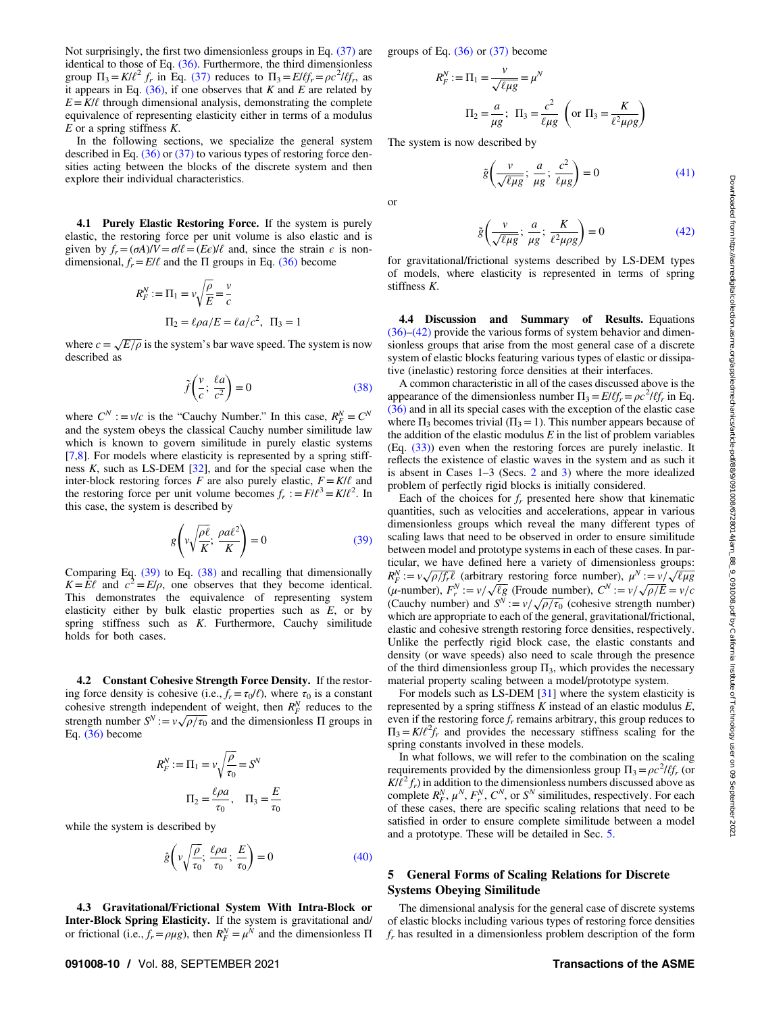<span id="page-9-0"></span>Not surprisingly, the first two dimensionless groups in Eq. [\(37\)](#page-8-0) are identical to those of Eq. [\(36\)](#page-8-0). Furthermore, the third dimensionless group  $\Pi_3 = K/l^2 f_r$  in Eq. [\(37\)](#page-8-0) reduces to  $\Pi_3 = E/lf_r = \rho c^2/lf_r$ , as it appears in Eq.  $(36)$ , if one observes that K and E are related by  $E = K/\ell$  through dimensional analysis, demonstrating the complete equivalence of representing elasticity either in terms of a modulus  $E$  or a spring stiffness  $K$ .

In the following sections, we specialize the general system described in Eq.  $(36)$  or  $(37)$  to various types of restoring force densities acting between the blocks of the discrete system and then explore their individual characteristics.

4.1 Purely Elastic Restoring Force. If the system is purely elastic, the restoring force per unit volume is also elastic and is given by  $f_r = (\sigma A)/V = \sigma l \ell = (E \epsilon)/\ell$  and, since the strain  $\epsilon$  is nondimensional,  $f_r = E/l$  and the  $\Pi$  groups in Eq. [\(36\)](#page-8-0) become

$$
R_F^N := \Pi_1 = v \sqrt{\frac{\rho}{E}} = \frac{v}{c}
$$

$$
\Pi_2 = \ell \rho a / E = \ell a / c^2, \ \Pi_3 = 1
$$

where  $c = \sqrt{E/\rho}$  is the system's bar wave speed. The system is now described as

$$
\tilde{f}\left(\frac{v}{c};\frac{\ell a}{c^2}\right) = 0\tag{38}
$$

where  $C^N$  : =  $v/c$  is the "Cauchy Number." In this case,  $R_F^N = C^N$ and the system obeys the classical Cauchy number similitude law which is known to govern similitude in purely elastic systems  $[7,8]$  $[7,8]$  $[7,8]$  $[7,8]$  $[7,8]$ . For models where elasticity is represented by a spring stiffness  $K$ , such as LS-DEM  $[32]$  $[32]$ , and for the special case when the inter-block restoring forces F are also purely elastic,  $F = K/\ell$  and the restoring force per unit volume becomes  $f_r := \frac{F}{\ell^3} = \frac{K}{\ell^2}$ . In this case, the system is described by

$$
g\left(v\sqrt{\frac{\rho\ell}{K}};\frac{\rho a\ell^2}{K}\right) = 0\tag{39}
$$

Comparing Eq. (39) to Eq. (38) and recalling that dimensionally  $K=E\ell$  and  $c^2=E/\rho$ , one observes that they become identical. This demonstrates the equivalence of representing system elasticity either by bulk elastic properties such as  $E$ , or by spring stiffness such as  $K$ . Furthermore, Cauchy similitude holds for both cases.

4.2 Constant Cohesive Strength Force Density. If the restoring force density is cohesive (i.e.,  $f_r = \tau_0/\ell$ ), where  $\tau_0$  is a constant cohesive strength independent of weight, then  $R_F^N$  reduces to the strength number  $S^N := v \sqrt{\rho/\tau_0}$  and the dimensionless  $\Pi$  groups in Eq. [\(36\)](#page-8-0) become

$$
R_F^N := \Pi_1 = v \sqrt{\frac{\rho}{\tau_0}} = S^N
$$

$$
\Pi_2 = \frac{\ell \rho a}{\tau_0}, \quad \Pi_3 = \frac{E}{\tau_0}
$$

while the system is described by

$$
\hat{g}\left(v\sqrt{\frac{\rho}{\tau_0}};\,\frac{\ell\rho a}{\tau_0};\,\frac{E}{\tau_0}\right) = 0\tag{40}
$$

4.3 Gravitational/Frictional System With Intra-Block or Inter-Block Spring Elasticity. If the system is gravitational and/ or frictional (i.e.,  $f_r = \rho \mu g$ ), then  $R_F^N = \mu^N$  and the dimensionless  $\Pi$ 

groups of Eq.  $(36)$  or  $(37)$  become

$$
R_F^N := \Pi_1 = \frac{v}{\sqrt{\ell \mu g}} = \mu^N
$$

$$
\Pi_2 = \frac{a}{\mu g}; \ \Pi_3 = \frac{c^2}{\ell \mu g} \left( \text{or } \Pi_3 = \frac{K}{\ell^2 \mu \rho g} \right)
$$

The system is now described by

or

$$
\tilde{g}\left(\frac{v}{\sqrt{\ell\mu g}};\frac{a}{\mu g};\frac{c^2}{\ell\mu g}\right) = 0\tag{41}
$$

$$
\tilde{g}\left(\frac{v}{\sqrt{\ell\mu g}};\frac{a}{\mu g};\frac{K}{\ell^2\mu\rho g}\right) = 0\tag{42}
$$

for gravitational/frictional systems described by LS-DEM types of models, where elasticity is represented in terms of spring stiffness K.

4.4 Discussion and Summary of Results. Equations [\(36\)](#page-8-0)–(42) provide the various forms of system behavior and dimensionless groups that arise from the most general case of a discrete system of elastic blocks featuring various types of elastic or dissipative (inelastic) restoring force densities at their interfaces.

A common characteristic in all of the cases discussed above is the appearance of the dimensionless number  $\Pi_3 = E/\ell f_r = \rho c^2/\ell f_r$  in Eq. [\(36\)](#page-8-0) and in all its special cases with the exception of the elastic case where  $\Pi_3$  becomes trivial ( $\Pi_3=1$ ). This number appears because of the addition of the elastic modulus  $E$  in the list of problem variables (Eq. [\(33\)\)](#page-8-0) even when the restoring forces are purely inelastic. It reflects the existence of elastic waves in the system and as such it is absent in Cases 1–3 (Secs. [2](#page-3-0) and [3\)](#page-7-0) where the more idealized problem of perfectly rigid blocks is initially considered.

Each of the choices for  $f_r$  presented here show that kinematic quantities, such as velocities and accelerations, appear in various dimensionless groups which reveal the many different types of scaling laws that need to be observed in order to ensure similitude between model and prototype systems in each of these cases. In particular, we have defined here a variety of dimensionless groups:  $R_F^N := v \sqrt{\rho/f_r \ell}$  (arbitrary restoring force number),  $\mu^N := v / \sqrt{\ell \mu g}$ (μ-number),  $F_r^N := v / \sqrt{\ell g}$  (Froude number),  $C^N := v / \sqrt{\rho / E} = v / c$ (Cauchy number) and  $S^N := v / \sqrt{\rho / \tau_0}$  (cohesive strength number) which are appropriate to each of the general, gravitational/frictional, elastic and cohesive strength restoring force densities, respectively. Unlike the perfectly rigid block case, the elastic constants and density (or wave speeds) also need to scale through the presence of the third dimensionless group  $\Pi_3$ , which provides the necessary material property scaling between a model/prototype system.

For models such as LS-DEM [[31\]](#page-18-0) where the system elasticity is represented by a spring stiffness  $K$  instead of an elastic modulus  $E$ , even if the restoring force  $f_r$  remains arbitrary, this group reduces to  $\Pi_3 = K/l^2 f_r$  and provides the necessary stiffness scaling for the spring constants involved in these models.

In what follows, we will refer to the combination on the scaling requirements provided by the dimensionless group  $\Pi_3 = \rho c^2 l f_r$  (or  $K/\ell^2 f_r$ ) in addition to the dimensionless numbers discussed above as complete  $R_F^N$ ,  $\mu^N$ ,  $F_r^N$ ,  $C^N$ , or  $S^N$  similitudes, respectively. For each of these cases, there are specific scaling relations that need to be satisfied in order to ensure complete similitude between a model and a prototype. These will be detailed in Sec. 5.

#### 5 General Forms of Scaling Relations for Discrete Systems Obeying Similitude

The dimensional analysis for the general case of discrete systems of elastic blocks including various types of restoring force densities  $f_r$  has resulted in a dimensionless problem description of the form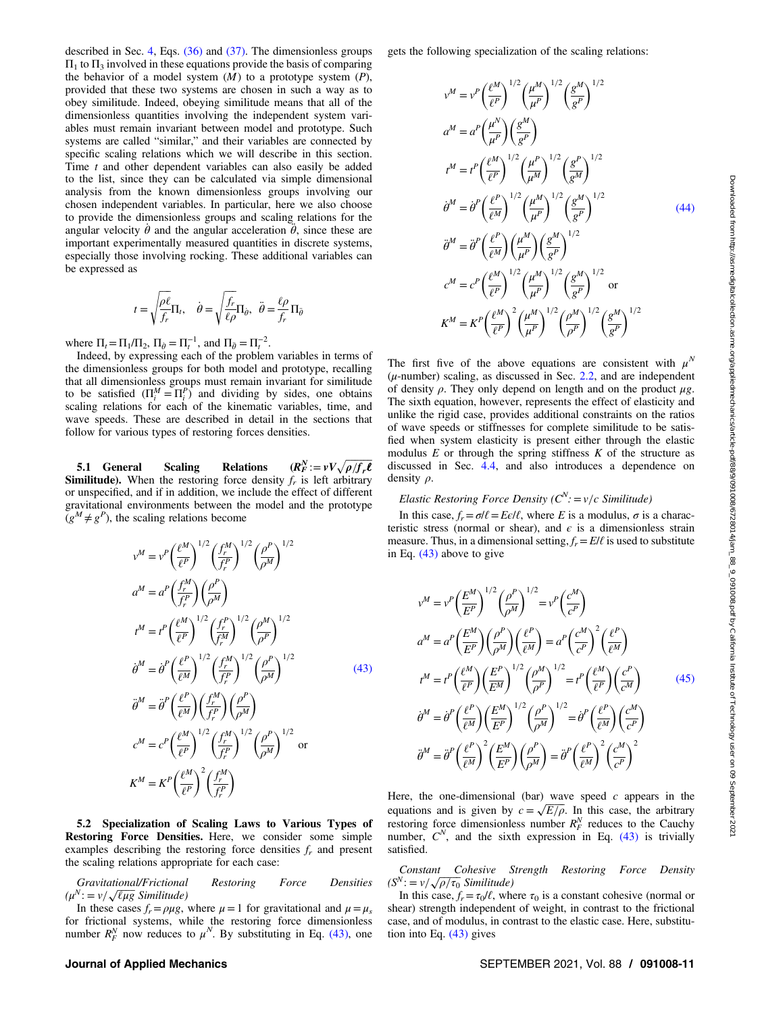<span id="page-10-0"></span>described in Sec. [4](#page-8-0), Eqs. [\(36\)](#page-8-0) and [\(37\).](#page-8-0) The dimensionless groups  $\Pi_1$  to  $\Pi_3$  involved in these equations provide the basis of comparing the behavior of a model system  $(M)$  to a prototype system  $(P)$ , provided that these two systems are chosen in such a way as to obey similitude. Indeed, obeying similitude means that all of the dimensionless quantities involving the independent system variables must remain invariant between model and prototype. Such systems are called "similar," and their variables are connected by specific scaling relations which we will describe in this section. Time  $t$  and other dependent variables can also easily be added to the list, since they can be calculated via simple dimensional analysis from the known dimensionless groups involving our chosen independent variables. In particular, here we also choose to provide the dimensionless groups and scaling relations for the angular velocity  $\dot{\theta}$  and the angular acceleration  $\ddot{\theta}$ , since these are important experimentally measured quantities in discrete systems, especially those involving rocking. These additional variables can be expressed as

$$
t = \sqrt{\frac{\rho \ell}{f_r}} \Pi_t, \quad \dot{\theta} = \sqrt{\frac{f_r}{\ell \rho}} \Pi_{\dot{\theta}}, \quad \ddot{\theta} = \frac{\ell \rho}{f_r} \Pi_{\ddot{\theta}}
$$

where  $\Pi_t = \Pi_1 / \Pi_2$ ,  $\Pi_{\dot{\theta}} = \Pi_t^{-1}$ , and  $\Pi_{\ddot{\theta}} = \Pi_t^{-2}$ .

Indeed, by expressing each of the problem variables in terms of the dimensionless groups for both model and prototype, recalling that all dimensionless groups must remain invariant for similitude to be satisfied  $(\Pi_i^M = \Pi_i^P)$  and dividing by sides, one obtains scaling relations for each of the kinematic variables, time, and wave speeds. These are described in detail in the sections that follow for various types of restoring forces densities.

5.1 General Scaling Relations  $_{F}^{N}:=vV\sqrt{\rho/f_{r}\ell}$ **Similitude).** When the restoring force density  $f<sub>r</sub>$  is left arbitrary or unspecified, and if in addition, we include the effect of different gravitational environments between the model and the prototype  $(g^M \neq g^P)$ , the scaling relations become

$$
v^{M} = v^{P} \left(\frac{\ell^{M}}{\ell^{P}}\right)^{1/2} \left(\frac{f_{r}^{M}}{f_{r}^{P}}\right)^{1/2} \left(\frac{\rho^{P}}{\rho^{M}}\right)^{1/2}
$$
\n
$$
a^{M} = a^{P} \left(\frac{f_{r}^{M}}{f_{r}^{P}}\right) \left(\frac{\rho^{P}}{\rho^{M}}\right)
$$
\n
$$
t^{M} = t^{P} \left(\frac{\ell^{M}}{\ell^{P}}\right)^{1/2} \left(\frac{f_{r}^{P}}{f_{r}^{M}}\right)^{1/2} \left(\frac{\rho^{M}}{\rho^{P}}\right)^{1/2}
$$
\n
$$
\dot{\theta}^{M} = \dot{\theta}^{P} \left(\frac{\ell^{P}}{\ell^{M}}\right)^{1/2} \left(\frac{f_{r}^{M}}{f_{r}^{P}}\right)^{1/2} \left(\frac{\rho^{P}}{\rho^{M}}\right)^{1/2}
$$
\n
$$
\ddot{\theta}^{M} = \ddot{\theta}^{P} \left(\frac{\ell^{P}}{\ell^{M}}\right) \left(\frac{f_{r}^{M}}{f_{r}^{P}}\right) \left(\frac{\rho^{P}}{\rho^{M}}\right)
$$
\n
$$
c^{M} = c^{P} \left(\frac{\ell^{M}}{\ell^{P}}\right)^{1/2} \left(\frac{f_{r}^{M}}{f_{r}^{P}}\right)^{1/2} \left(\frac{\rho^{P}}{\rho^{M}}\right)^{1/2} \text{ or}
$$
\n
$$
K^{M} = K^{P} \left(\frac{\ell^{M}}{\ell^{P}}\right)^{2} \left(\frac{f_{r}^{M}}{f_{r}^{P}}\right)
$$

5.2 Specialization of Scaling Laws to Various Types of Restoring Force Densities. Here, we consider some simple examples describing the restoring force densities  $f_r$  and present the scaling relations appropriate for each case:

Gravitational/Frictional Restoring Force Densities  $(\mu^N := v / \sqrt{\ell \mu g} \text{ Similar distribution})$ 

In these cases  $f_r = \rho \mu g$ , where  $\mu = 1$  for gravitational and  $\mu = \mu_s$ for frictional systems, while the restoring force dimensionless number  $R_F^N$  now reduces to  $\mu^N$ . By substituting in Eq. (43), one

gets the following specialization of the scaling relations:

$$
v^{M} = v^{P} \left(\frac{\ell^{M}}{\ell^{P}}\right)^{1/2} \left(\frac{\mu^{M}}{\mu^{P}}\right)^{1/2} \left(\frac{g^{M}}{g^{P}}\right)^{1/2}
$$
\n
$$
a^{M} = a^{P} \left(\frac{\mu^{N}}{\mu^{P}}\right) \left(\frac{g^{M}}{g^{P}}\right)
$$
\n
$$
t^{M} = t^{P} \left(\frac{\ell^{M}}{\ell^{P}}\right)^{1/2} \left(\frac{\mu^{P}}{\mu^{M}}\right)^{1/2} \left(\frac{g^{P}}{g^{M}}\right)^{1/2}
$$
\n
$$
\dot{\theta}^{M} = \dot{\theta}^{P} \left(\frac{\ell^{P}}{\ell^{M}}\right)^{1/2} \left(\frac{\mu^{M}}{\mu^{P}}\right)^{1/2} \left(\frac{g^{M}}{g^{P}}\right)^{1/2}
$$
\n
$$
\ddot{\theta}^{M} = \ddot{\theta}^{P} \left(\frac{\ell^{P}}{\ell^{M}}\right) \left(\frac{\mu^{M}}{\mu^{P}}\right) \left(\frac{g^{M}}{g^{P}}\right)^{1/2}
$$
\n
$$
c^{M} = c^{P} \left(\frac{\ell^{M}}{\ell^{P}}\right)^{1/2} \left(\frac{\mu^{M}}{\mu^{P}}\right)^{1/2} \left(\frac{g^{M}}{g^{P}}\right)^{1/2} \text{ or}
$$
\n
$$
K^{M} = K^{P} \left(\frac{\ell^{M}}{\ell^{P}}\right)^{2} \left(\frac{\mu^{M}}{\mu^{P}}\right)^{1/2} \left(\frac{\rho^{M}}{\rho^{P}}\right)^{1/2} \left(\frac{g^{M}}{g^{P}}\right)^{1/2}
$$

The first five of the above equations are consistent with  $\mu^N$  $(\mu$ -number) scaling, as discussed in Sec. [2.2](#page-5-0), and are independent of density  $\rho$ . They only depend on length and on the product  $\mu$ g. The sixth equation, however, represents the effect of elasticity and unlike the rigid case, provides additional constraints on the ratios of wave speeds or stiffnesses for complete similitude to be satisfied when system elasticity is present either through the elastic modulus  $E$  or through the spring stiffness  $K$  of the structure as discussed in Sec. [4.4](#page-9-0), and also introduces a dependence on density ρ.

### Elastic Restoring Force Density  $(C^N) = v/c$  Similitude)

In this case,  $f_r = \sigma l \ell = E \epsilon / \ell$ , where E is a modulus,  $\sigma$  is a characteristic stress (normal or shear), and  $\epsilon$  is a dimensionless strain measure. Thus, in a dimensional setting,  $f_r = E/l$  is used to substitute in Eq. (43) above to give

$$
v^{M} = v^{P} \left(\frac{E^{M}}{E^{P}}\right)^{1/2} \left(\frac{\rho^{P}}{\rho^{M}}\right)^{1/2} = v^{P} \left(\frac{c^{M}}{c^{P}}\right)
$$

$$
a^{M} = a^{P} \left(\frac{E^{M}}{E^{P}}\right) \left(\frac{\rho^{P}}{\rho^{M}}\right) \left(\frac{\ell^{P}}{\ell^{M}}\right) = a^{P} \left(\frac{c^{M}}{c^{P}}\right)^{2} \left(\frac{\ell^{P}}{\ell^{M}}\right)
$$

$$
t^{M} = t^{P} \left(\frac{\ell^{M}}{\ell^{P}}\right) \left(\frac{E^{P}}{E^{M}}\right)^{1/2} \left(\frac{\rho^{M}}{\rho^{P}}\right)^{1/2} = t^{P} \left(\frac{\ell^{M}}{\ell^{P}}\right) \left(\frac{c^{P}}{c^{M}}\right)
$$

$$
\dot{\theta}^{M} = \dot{\theta}^{P} \left(\frac{\ell^{P}}{\ell^{M}}\right) \left(\frac{E^{M}}{E^{P}}\right)^{1/2} \left(\frac{\rho^{P}}{\rho^{M}}\right)^{1/2} = \dot{\theta}^{P} \left(\frac{\ell^{P}}{\ell^{M}}\right) \left(\frac{c^{M}}{c^{P}}\right)
$$

$$
\ddot{\theta}^{M} = \ddot{\theta}^{P} \left(\frac{\ell^{P}}{\ell^{M}}\right)^{2} \left(\frac{E^{M}}{E^{P}}\right) \left(\frac{\rho^{P}}{\rho^{M}}\right) = \ddot{\theta}^{P} \left(\frac{\ell^{P}}{\ell^{M}}\right)^{2} \left(\frac{c^{M}}{c^{P}}\right)^{2}
$$
(45)

Here, the one-dimensional (bar) wave speed  $c$  appears in the equations and is given by  $c = \sqrt{E/\rho}$ . In this case, the arbitrary restoring force dimensionless number  $R_F^N$  reduces to the Cauchy number,  $C^N$ , and the sixth expression in Eq. (43) is trivially satisfied.

Constant Cohesive Strength Restoring Force Density  $(S^N := v / \sqrt{\rho / \tau_0}$  Similitude)

In this case,  $f_r = \tau_0/\ell$ , where  $\tau_0$  is a constant cohesive (normal or shear) strength independent of weight, in contrast to the frictional case, and of modulus, in contrast to the elastic case. Here, substitution into Eq. (43) gives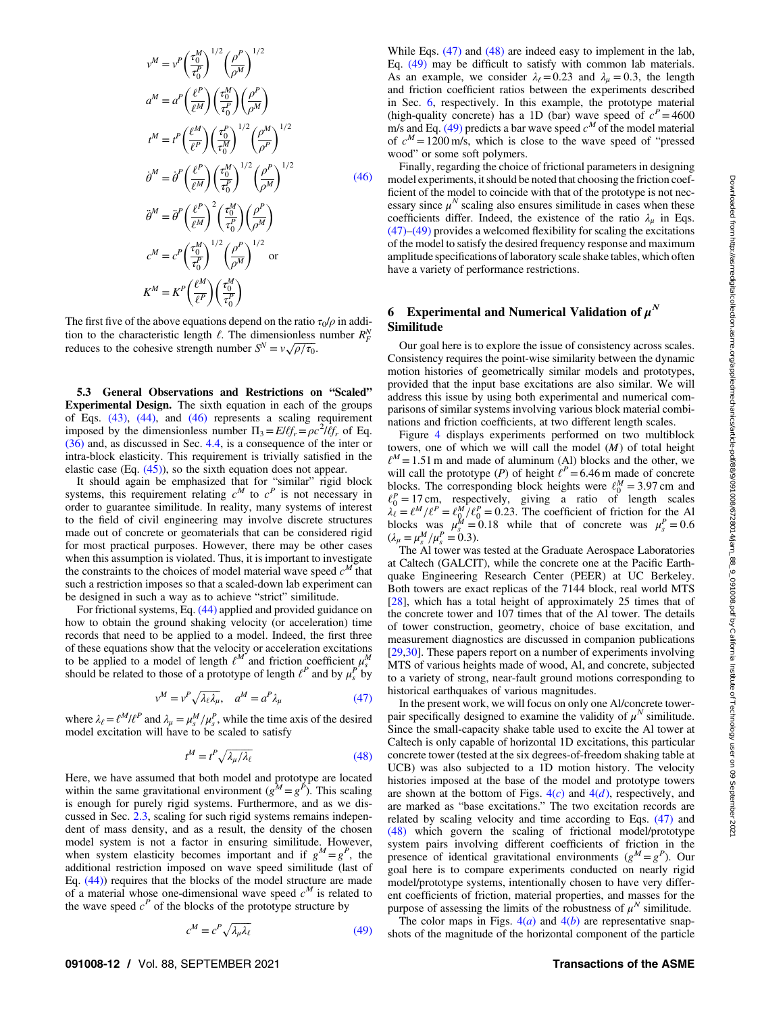<span id="page-11-0"></span>
$$
v^{M} = v^{P} \left(\frac{\tau_{0}^{M}}{\tau_{0}^{P}}\right)^{1/2} \left(\frac{\rho^{P}}{\rho^{M}}\right)^{1/2}
$$
\n
$$
a^{M} = a^{P} \left(\frac{\ell^{P}}{\ell^{M}}\right) \left(\frac{\tau_{0}^{M}}{\tau_{0}^{P}}\right) \left(\frac{\rho^{P}}{\rho^{M}}\right)
$$
\n
$$
t^{M} = t^{P} \left(\frac{\ell^{M}}{\ell^{P}}\right) \left(\frac{\tau_{0}^{P}}{\tau_{0}^{M}}\right)^{1/2} \left(\frac{\rho^{M}}{\rho^{P}}\right)^{1/2}
$$
\n
$$
\dot{\theta}^{M} = \dot{\theta}^{P} \left(\frac{\ell^{P}}{\ell^{M}}\right) \left(\frac{\tau_{0}^{M}}{\tau_{0}^{P}}\right)^{1/2} \left(\frac{\rho^{P}}{\rho^{M}}\right)^{1/2}
$$
\n
$$
\ddot{\theta}^{M} = \ddot{\theta}^{P} \left(\frac{\ell^{P}}{\ell^{M}}\right)^{2} \left(\frac{\tau_{0}^{M}}{\tau_{0}^{P}}\right) \left(\frac{\rho^{P}}{\rho^{M}}\right)
$$
\n
$$
c^{M} = c^{P} \left(\frac{\tau_{0}^{M}}{\tau_{0}^{P}}\right)^{1/2} \left(\frac{\rho^{P}}{\rho^{M}}\right)^{1/2} \text{ or}
$$
\n
$$
K^{M} = K^{P} \left(\frac{\ell^{M}}{\ell^{P}}\right) \left(\frac{\tau_{0}^{M}}{\tau_{0}^{P}}\right)
$$

The first five of the above equations depend on the ratio  $\tau_0/\rho$  in addition to the characteristic length  $\ell$ . The dimensionless number  $R_F^N$ reduces to the cohesive strength number  $S^N = v \sqrt{\rho/\tau_0}$ .

5.3 General Observations and Restrictions on "Scaled" Experimental Design. The sixth equation in each of the groups of Eqs.  $(43)$ ,  $(44)$ , and  $(46)$  represents a scaling requirement imposed by the dimensionless number  $\Pi_3 = E l l f_r = \rho c^2 l l f_r$  of Eq. [\(36\)](#page-8-0) and, as discussed in Sec. [4.4](#page-9-0), is a consequence of the inter or intra-block elasticity. This requirement is trivially satisfied in the elastic case  $(Eq. (45))$  $(Eq. (45))$ , so the sixth equation does not appear.

It should again be emphasized that for "similar" rigid block systems, this requirement relating  $c^M$  to  $c^P$  is not necessary in order to guarantee similitude. In reality, many systems of interest to the field of civil engineering may involve discrete structures made out of concrete or geomaterials that can be considered rigid for most practical purposes. However, there may be other cases when this assumption is violated. Thus, it is important to investigate the constraints to the choices of model material wave speed  $c^M$  that such a restriction imposes so that a scaled-down lab experiment can be designed in such a way as to achieve "strict" similitude.

For frictional systems, Eq. [\(44\)](#page-10-0) applied and provided guidance on how to obtain the ground shaking velocity (or acceleration) time records that need to be applied to a model. Indeed, the first three of these equations show that the velocity or acceleration excitations<br>to be applied to a model of length  $\ell^M$  and friction coefficient  $\mu^M$ should be related to those of a prototype of length  $\ell^P$  and by  $\mu_s^P$  by

$$
v^M = v^P \sqrt{\lambda_\ell \lambda_\mu}, \quad a^M = a^P \lambda_\mu \tag{47}
$$

where  $\lambda_{\ell} = \ell^M \ell^P$  and  $\lambda_{\mu} = \mu_s^M / \mu_s^P$ , while the time axis of the desired model excitation will have to be scaled to satisfy

$$
t^M = t^P \sqrt{\lambda_\mu / \lambda_\ell} \tag{48}
$$

Here, we have assumed that both model and prototype are located within the same gravitational environment  $(g^M = g^P)$ . This scaling is enough for purely rigid systems. Furthermore, and as we discussed in Sec. [2.3](#page-5-0), scaling for such rigid systems remains independent of mass density, and as a result, the density of the chosen model system is not a factor in ensuring similitude. However, when system elasticity becomes important and if  $g^M = g^P$ , the additional restriction imposed on wave speed similitude (last of Eq. [\(44\)\)](#page-10-0) requires that the blocks of the model structure are made of a material whose one-dimensional wave speed  $c^M$  is related to the wave speed  $c^P$  of the blocks of the prototype structure by

$$
c^M = c^P \sqrt{\lambda_\mu \lambda_\ell} \tag{49}
$$

While Eqs. (47) and (48) are indeed easy to implement in the lab, Eq. (49) may be difficult to satisfy with common lab materials. As an example, we consider  $\lambda_{\ell} = 0.23$  and  $\lambda_{\mu} = 0.3$ , the length and friction coefficient ratios between the experiments described in Sec. 6, respectively. In this example, the prototype material (high-quality concrete) has a 1D (bar) wave speed of  $c^P=4600$ m/s and Eq. (49) predicts a bar wave speed  $c^M$  of the model material of  $c^M = 1200$  m/s, which is close to the wave speed of "pressed wood" or some soft polymers.

Finally, regarding the choice of frictional parameters in designing model experiments, it should be noted that choosing the friction coefficient of the model to coincide with that of the prototype is not necessary since  $\mu^N$  scaling also ensures similitude in cases when these coefficients differ. Indeed, the existence of the ratio  $\lambda_{\mu}$  in Eqs. (47)–(49) provides a welcomed flexibility for scaling the excitations of the model to satisfy the desired frequency response and maximum amplitude specifications of laboratory scale shake tables, which often have a variety of performance restrictions.

#### 6 Experimental and Numerical Validation of  $\mu^N$ Similitude

Our goal here is to explore the issue of consistency across scales. Consistency requires the point-wise similarity between the dynamic motion histories of geometrically similar models and prototypes, provided that the input base excitations are also similar. We will address this issue by using both experimental and numerical comparisons of similar systems involving various block material combinations and friction coefficients, at two different length scales.

Figure [4](#page-6-0) displays experiments performed on two multiblock towers, one of which we will call the model  $(M)$  of total height  $\ell^M = 1.51$  m and made of aluminum (Al) blocks and the other, we will call the prototype (P) of height  $\ell^P = 6.46$  m made of concrete blocks. The corresponding block heights were  $\ell_0^M = 3.97$  cm and  $\ell_0^P = 17$  cm, respectively, giving a ratio of length scales  $\lambda_{\ell}^{\prime} = \ell^M / \ell^P = \ell_0^M / \ell_0^P = 0.23$ . The coefficient of friction for the Al blocks was  $\mu_s^M = 0.18$  while that of concrete was  $\mu_s^P = 0.6$  $(\lambda_{\mu} = \mu_s^M/\mu_s^P = 0.3)$ .<br>The Al tower was tested at the Graduate Aerospace Laboratories

at Caltech (GALCIT), while the concrete one at the Pacific Earthquake Engineering Research Center (PEER) at UC Berkeley. Both towers are exact replicas of the 7144 block, real world MTS [[28\]](#page-18-0), which has a total height of approximately 25 times that of the concrete tower and 107 times that of the Al tower. The details of tower construction, geometry, choice of base excitation, and measurement diagnostics are discussed in companion publications [[29,30](#page-18-0)]. These papers report on a number of experiments involving MTS of various heights made of wood, Al, and concrete, subjected to a variety of strong, near-fault ground motions corresponding to historical earthquakes of various magnitudes.

In the present work, we will focus on only one Al/concrete towerpair specifically designed to examine the validity of  $\mu^N$  similitude. Since the small-capacity shake table used to excite the Al tower at Caltech is only capable of horizontal 1D excitations, this particular concrete tower (tested at the six degrees-of-freedom shaking table at UCB) was also subjected to a 1D motion history. The velocity histories imposed at the base of the model and prototype towers are shown at the bottom of Figs.  $4(c)$  $4(c)$  and  $4(d)$ , respectively, and are marked as "base excitations." The two excitation records are related by scaling velocity and time according to Eqs. (47) and (48) which govern the scaling of frictional model/prototype system pairs involving different coefficients of friction in the presence of identical gravitational environments  $(g^M = g^P)$ . Our goal here is to compare experiments conducted on nearly rigid model/prototype systems, intentionally chosen to have very different coefficients of friction, material properties, and masses for the purpose of assessing the limits of the robustness of  $\mu^N$  similitude.

The color maps in Figs.  $4(a)$  $4(a)$  and  $4(b)$  are representative snapshots of the magnitude of the horizontal component of the particle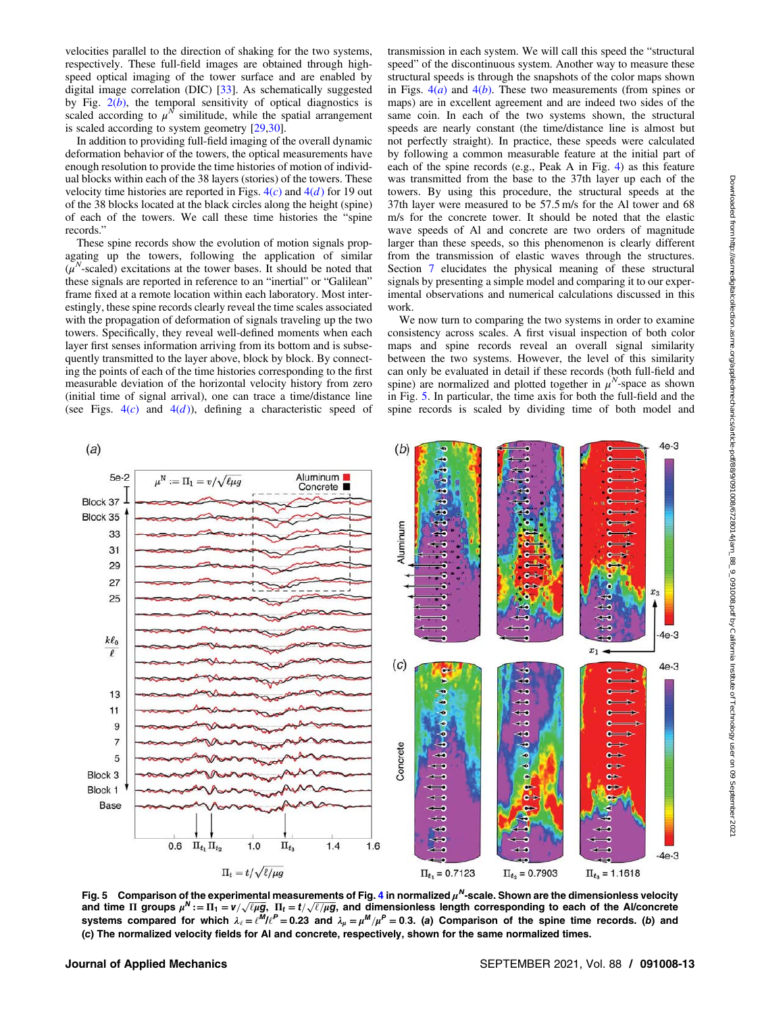<span id="page-12-0"></span>velocities parallel to the direction of shaking for the two systems, respectively. These full-field images are obtained through highspeed optical imaging of the tower surface and are enabled by digital image correlation (DIC) [\[33](#page-18-0)]. As schematically suggested by Fig.  $2(b)$  $2(b)$ , the temporal sensitivity of optical diagnostics is scaled according to  $\mu^N$  similitude, while the spatial arrangement is scaled according to system geometry [[29,30\]](#page-18-0).

In addition to providing full-field imaging of the overall dynamic deformation behavior of the towers, the optical measurements have enough resolution to provide the time histories of motion of individual blocks within each of the 38 layers (stories) of the towers. These velocity time histories are reported in Figs.  $4(c)$  $4(c)$  and  $4(d)$  for 19 out of the 38 blocks located at the black circles along the height (spine) of each of the towers. We call these time histories the "spine records."

These spine records show the evolution of motion signals propagating up the towers, following the application of similar  $(\mu^N\text{-scaled})$  excitations at the tower bases. It should be noted that these signals are reported in reference to an "inertial" or "Galilean" frame fixed at a remote location within each laboratory. Most interestingly, these spine records clearly reveal the time scales associated with the propagation of deformation of signals traveling up the two towers. Specifically, they reveal well-defined moments when each layer first senses information arriving from its bottom and is subsequently transmitted to the layer above, block by block. By connecting the points of each of the time histories corresponding to the first measurable deviation of the horizontal velocity history from zero (initial time of signal arrival), one can trace a time/distance line (see Figs.  $4(c)$  $4(c)$  and  $4(d)$ ), defining a characteristic speed of transmission in each system. We will call this speed the "structural speed" of the discontinuous system. Another way to measure these structural speeds is through the snapshots of the color maps shown in Figs.  $4(a)$  $4(a)$  and  $4(b)$ . These two measurements (from spines or maps) are in excellent agreement and are indeed two sides of the same coin. In each of the two systems shown, the structural speeds are nearly constant (the time/distance line is almost but not perfectly straight). In practice, these speeds were calculated by following a common measurable feature at the initial part of each of the spine records (e.g., Peak A in Fig. [4\)](#page-6-0) as this feature was transmitted from the base to the 37th layer up each of the towers. By using this procedure, the structural speeds at the 37th layer were measured to be 57.5 m/s for the Al tower and 68 m/s for the concrete tower. It should be noted that the elastic wave speeds of Al and concrete are two orders of magnitude larger than these speeds, so this phenomenon is clearly different from the transmission of elastic waves through the structures. Section [7](#page-14-0) elucidates the physical meaning of these structural signals by presenting a simple model and comparing it to our experimental observations and numerical calculations discussed in this work.

We now turn to comparing the two systems in order to examine consistency across scales. A first visual inspection of both color maps and spine records reveal an overall signal similarity between the two systems. However, the level of this similarity can only be evaluated in detail if these records (both full-field and spine) are normalized and plotted together in  $\mu^N$ -space as shown in Fig. 5. In particular, the time axis for both the full-field and the spine records is scaled by dividing time of both model and



Fig. 5 Comparison of the experimental measurements of Fig. [4](#page-6-0) in normalized  $\mu^N$ -scale. Shown are the dimensionless velocity and time  $\Pi$  groups  $\mu^N := \Pi_1 = v / \sqrt{\ell \mu g}$ ,  $\Pi_t = t / \sqrt{\ell / \mu g}$ , and dimensionless length corresponding to each of the Al/concrete systems compared for which  $\lambda_{\ell} = \ell^M/\ell^P = 0.23$  and  $\lambda_{\mu} = \mu^M/\mu^P = 0.3$ . (a) Comparison of the spine time records. (b) and (c) The normalized velocity fields for Al and concrete, respectively, shown for the same normalized times.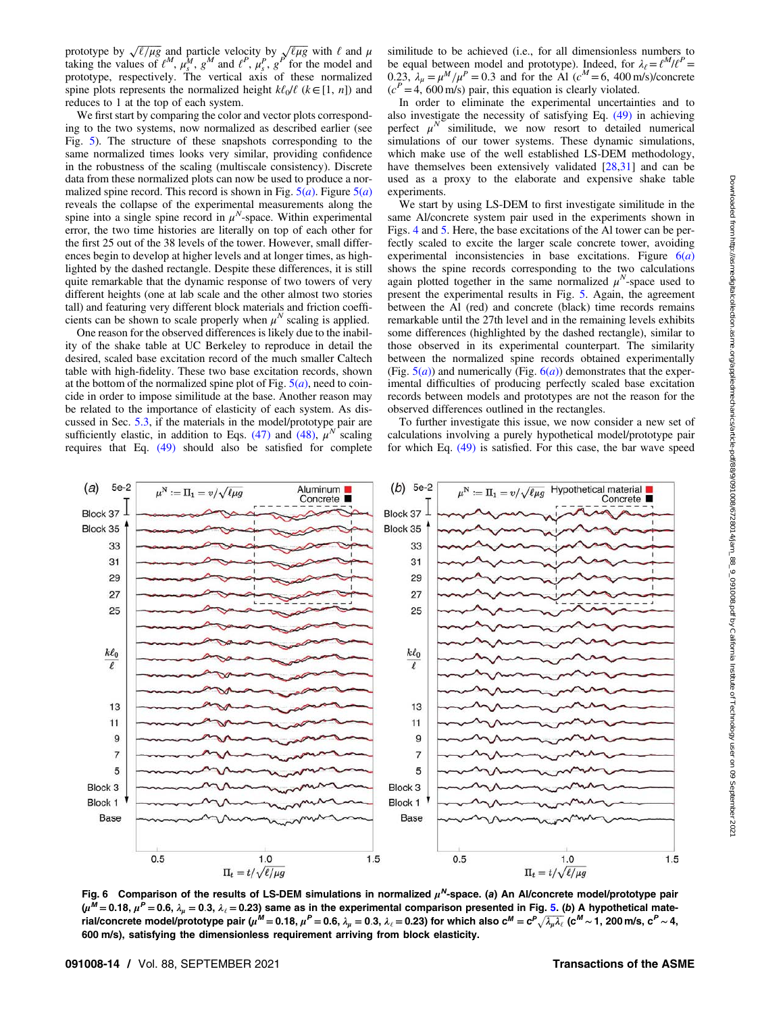<span id="page-13-0"></span>prototype by  $\sqrt{\ell/\mu g}$  and particle velocity by  $\sqrt{\ell/\mu g}$  with  $\ell$  and  $\mu$ taking the values of  $\ell^M$ ,  $\mu_s^M$ ,  $g^M$  and  $\ell^P$ ,  $\mu_s^P$ ,  $g^P$  for the model and prototype, respectively. The vertical axis of these normalized spine plots represents the normalized height  $k\ell_0/\ell$  ( $k \in [1, n]$ ) and reduces to 1 at the top of each system.

We first start by comparing the color and vector plots corresponding to the two systems, now normalized as described earlier (see Fig. [5](#page-12-0)). The structure of these snapshots corresponding to the same normalized times looks very similar, providing confidence in the robustness of the scaling (multiscale consistency). Discrete data from these normalized plots can now be used to produce a normalized spine record. This record is shown in Fig.  $5(a)$  $5(a)$ . Figure  $5(a)$ reveals the collapse of the experimental measurements along the spine into a single spine record in  $\mu^N$ -space. Within experimental error, the two time histories are literally on top of each other for the first 25 out of the 38 levels of the tower. However, small differences begin to develop at higher levels and at longer times, as highlighted by the dashed rectangle. Despite these differences, it is still quite remarkable that the dynamic response of two towers of very different heights (one at lab scale and the other almost two stories tall) and featuring very different block materials and friction coefficients can be shown to scale properly when  $\mu^N$  scaling is applied.

One reason for the observed differences is likely due to the inability of the shake table at UC Berkeley to reproduce in detail the desired, scaled base excitation record of the much smaller Caltech table with high-fidelity. These two base excitation records, shown at the bottom of the normalized spine plot of Fig.  $5(a)$  $5(a)$ , need to coincide in order to impose similitude at the base. Another reason may be related to the importance of elasticity of each system. As discussed in Sec. [5.3](#page-11-0), if the materials in the model/prototype pair are sufficiently elastic, in addition to Eqs. [\(47\)](#page-11-0) and [\(48\),](#page-11-0)  $\mu^N$  scaling requires that Eq. [\(49\)](#page-11-0) should also be satisfied for complete similitude to be achieved (i.e., for all dimensionless numbers to be equal between model and prototype). Indeed, for  $\lambda_{\ell} = \ell^M/\ell^P =$ 0.23,  $\lambda_{\mu} = \mu^M / \mu^P = 0.3$  and for the Al ( $c^M = 6$ , 400 m/s)/concrete  $(c<sup>P</sup>=4, 600$  m/s) pair, this equation is clearly violated.

In order to eliminate the experimental uncertainties and to also investigate the necessity of satisfying Eq. [\(49\)](#page-11-0) in achieving perfect  $\mu^N$  similitude, we now resort to detailed numerical simulations of our tower systems. These dynamic simulations, which make use of the well established LS-DEM methodology, have themselves been extensively validated [\[28](#page-18-0),[31\]](#page-18-0) and can be used as a proxy to the elaborate and expensive shake table experiments.

We start by using LS-DEM to first investigate similitude in the same Al/concrete system pair used in the experiments shown in Figs. [4](#page-6-0) and [5](#page-12-0). Here, the base excitations of the Al tower can be perfectly scaled to excite the larger scale concrete tower, avoiding experimental inconsistencies in base excitations. Figure  $6(a)$ shows the spine records corresponding to the two calculations again plotted together in the same normalized  $\mu^N$ -space used to present the experimental results in Fig. [5](#page-12-0). Again, the agreement between the Al (red) and concrete (black) time records remains remarkable until the 27th level and in the remaining levels exhibits some differences (highlighted by the dashed rectangle), similar to those observed in its experimental counterpart. The similarity between the normalized spine records obtained experimentally (Fig.  $5(a)$  $5(a)$ ) and numerically (Fig.  $6(a)$ ) demonstrates that the experimental difficulties of producing perfectly scaled base excitation records between models and prototypes are not the reason for the observed differences outlined in the rectangles.

To further investigate this issue, we now consider a new set of calculations involving a purely hypothetical model/prototype pair for which Eq. [\(49\)](#page-11-0) is satisfied. For this case, the bar wave speed



Fig. 6 Comparison of the results of LS-DEM simulations in normalized  $\mu^N$ -space. (a) An Al/concrete model/prototype pair  $(\mu^M = 0.18, \mu^P = 0.6, \lambda_u = 0.3, \lambda_c = 0.23)$  same as in the experimental comparison presented in Fig. [5.](#page-12-0) (b) A hypothetical material/concrete model/prototype pair ( $\mu^M=$  0.18,  $\mu^P=$  0.6,  $\lambda_\mu=$  0.3,  $\lambda_\ell=$  0.23) for which also c $^M=c^P\sqrt{\lambda_\mu\lambda_\ell}$  (c $^M\sim$  1, 200 m/s, c $^P\sim$  4, 600 m/s), satisfying the dimensionless requirement arriving from block elasticity.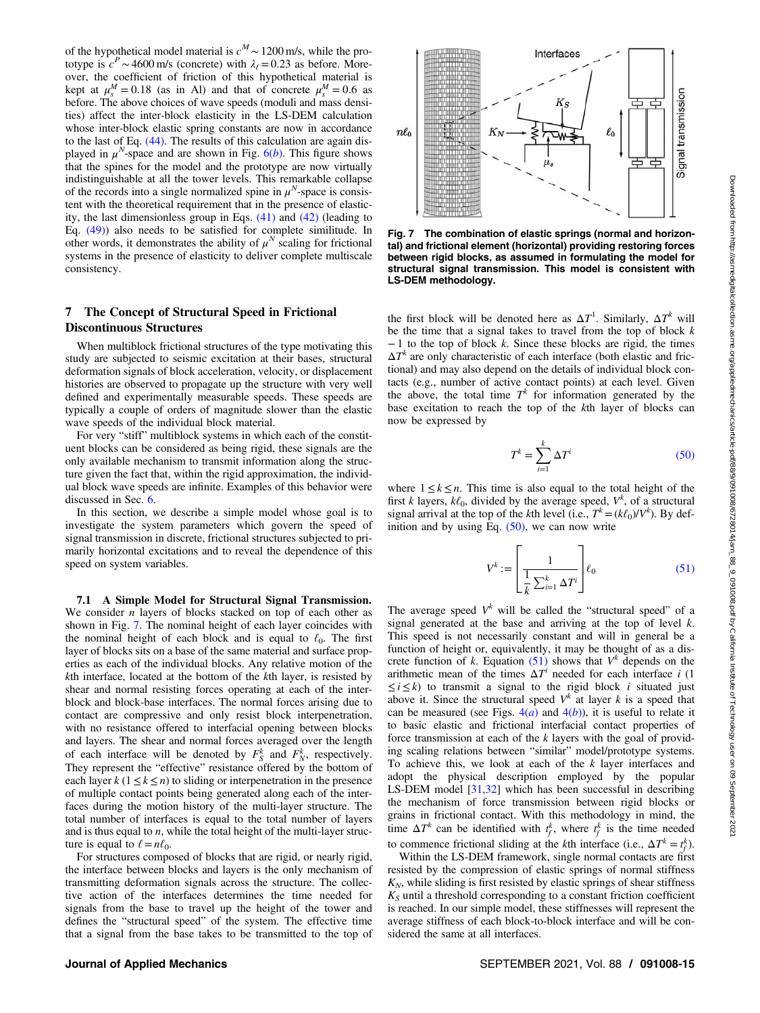<span id="page-14-0"></span>of the hypothetical model material is  $c^M \sim 1200$  m/s, while the prototype is  $c^P \sim 4600$  m/s (concrete) with  $\lambda_\ell = 0.23$  as before. Moreover, the coefficient of friction of this hypothetical material is kept at  $\mu_s^M = 0.18$  (as in Al) and that of concrete  $\mu_s^M = 0.6$  as before. The above choices of wave speeds (moduli and mass densities) affect the inter-block elasticity in the LS-DEM calculation whose inter-block elastic spring constants are now in accordance to the last of Eq. [\(44\)](#page-10-0). The results of this calculation are again displayed in  $\mu^N$ -space and are shown in Fig. [6\(](#page-13-0)b). This figure shows that the spines for the model and the prototype are now virtually indistinguishable at all the tower levels. This remarkable collapse of the records into a single normalized spine in  $\mu^N$ -space is consistent with the theoretical requirement that in the presence of elasticity, the last dimensionless group in Eqs. [\(41\)](#page-9-0) and [\(42\)](#page-9-0) (leading to Eq. [\(49\)](#page-11-0)) also needs to be satisfied for complete similitude. In other words, it demonstrates the ability of  $\mu^N$  scaling for frictional systems in the presence of elasticity to deliver complete multiscale consistency.

### 7 The Concept of Structural Speed in Frictional Discontinuous Structures

When multiblock frictional structures of the type motivating this study are subjected to seismic excitation at their bases, structural deformation signals of block acceleration, velocity, or displacement histories are observed to propagate up the structure with very well defined and experimentally measurable speeds. These speeds are typically a couple of orders of magnitude slower than the elastic wave speeds of the individual block material.

For very "stiff" multiblock systems in which each of the constituent blocks can be considered as being rigid, these signals are the only available mechanism to transmit information along the structure given the fact that, within the rigid approximation, the individual block wave speeds are infinite. Examples of this behavior were discussed in Sec. [6.](#page-11-0)

In this section, we describe a simple model whose goal is to investigate the system parameters which govern the speed of signal transmission in discrete, frictional structures subjected to primarily horizontal excitations and to reveal the dependence of this speed on system variables.

7.1 A Simple Model for Structural Signal Transmission. We consider  $n$  layers of blocks stacked on top of each other as shown in Fig. 7. The nominal height of each layer coincides with the nominal height of each block and is equal to  $\ell_0$ . The first layer of blocks sits on a base of the same material and surface properties as each of the individual blocks. Any relative motion of the kth interface, located at the bottom of the kth layer, is resisted by shear and normal resisting forces operating at each of the interblock and block-base interfaces. The normal forces arising due to contact are compressive and only resist block interpenetration, with no resistance offered to interfacial opening between blocks and layers. The shear and normal forces averaged over the length of each interface will be denoted by  $F_S^k$  and  $F_N^k$ , respectively. They represent the "effective" resistance offered by the bottom of each layer  $k$  (1  $\leq k \leq n$ ) to sliding or interpenetration in the presence of multiple contact points being generated along each of the interfaces during the motion history of the multi-layer structure. The total number of interfaces is equal to the total number of layers and is thus equal to  $n$ , while the total height of the multi-layer structure is equal to  $\ell = n\ell_0$ .

For structures composed of blocks that are rigid, or nearly rigid, the interface between blocks and layers is the only mechanism of transmitting deformation signals across the structure. The collective action of the interfaces determines the time needed for signals from the base to travel up the height of the tower and defines the "structural speed" of the system. The effective time that a signal from the base takes to be transmitted to the top of



Fig. 7 The combination of elastic springs (normal and horizontal) and frictional element (horizontal) providing restoring forces between rigid blocks, as assumed in formulating the model for structural signal transmission. This model is consistent with LS-DEM methodology.

the first block will be denoted here as  $\Delta T^1$ . Similarly,  $\Delta T^k$  will be the time that a signal takes to travel from the top of block  $k$  $-1$  to the top of block k. Since these blocks are rigid, the times  $\Delta T^k$  are only characteristic of each interface (both elastic and frictional) and may also depend on the details of individual block contacts (e.g., number of active contact points) at each level. Given the above, the total time  $T^k$  for information generated by the base excitation to reach the top of the kth layer of blocks can now be expressed by

$$
T^k = \sum_{i=1}^k \Delta T^i \tag{50}
$$

where  $1 \leq k \leq n$ . This time is also equal to the total height of the first k layers,  $k\ell_0$ , divided by the average speed,  $V^k$ , of a structural signal arrival at the top of the kth level (i.e.,  $T^k = (k\ell_0)/V^k$ ). By definition and by using Eq.  $(50)$ , we can now write

$$
V^k := \left[\frac{1}{\frac{1}{k}\sum_{i=1}^k \Delta T^i}\right] \ell_0 \tag{51}
$$

The average speed  $V^k$  will be called the "structural speed" of a signal generated at the base and arriving at the top of level  $k$ . This speed is not necessarily constant and will in general be a function of height or, equivalently, it may be thought of as a discrete function of k. Equation (51) shows that  $V^k$  depends on the arithmetic mean of the times  $\Delta T^i$  needed for each interface i (1)  $\leq i \leq k$ ) to transmit a signal to the rigid block *i* situated just above it. Since the structural speed  $V^k$  at layer k is a speed that can be measured (see Figs.  $4(a)$  $4(a)$  and  $4(b)$ ), it is useful to relate it to basic elastic and frictional interfacial contact properties of force transmission at each of the  $k$  layers with the goal of providing scaling relations between "similar" model/prototype systems. To achieve this, we look at each of the  $k$  layer interfaces and adopt the physical description employed by the popular LS-DEM model [\[31,32](#page-18-0)] which has been successful in describing the mechanism of force transmission between rigid blocks or grains in frictional contact. With this methodology in mind, the time  $\Delta T^k$  can be identified with  $t_f^k$ , where  $t_f^k$  is the time needed to commence frictional sliding at the kth interface (i.e.,  $\Delta T^k = t_f^k$ ).

Within the LS-DEM framework, single normal contacts are first resisted by the compression of elastic springs of normal stiffness  $K_N$ , while sliding is first resisted by elastic springs of shear stiffness  $K_S$  until a threshold corresponding to a constant friction coefficient is reached. In our simple model, these stiffnesses will represent the average stiffness of each block-to-block interface and will be considered the same at all interfaces.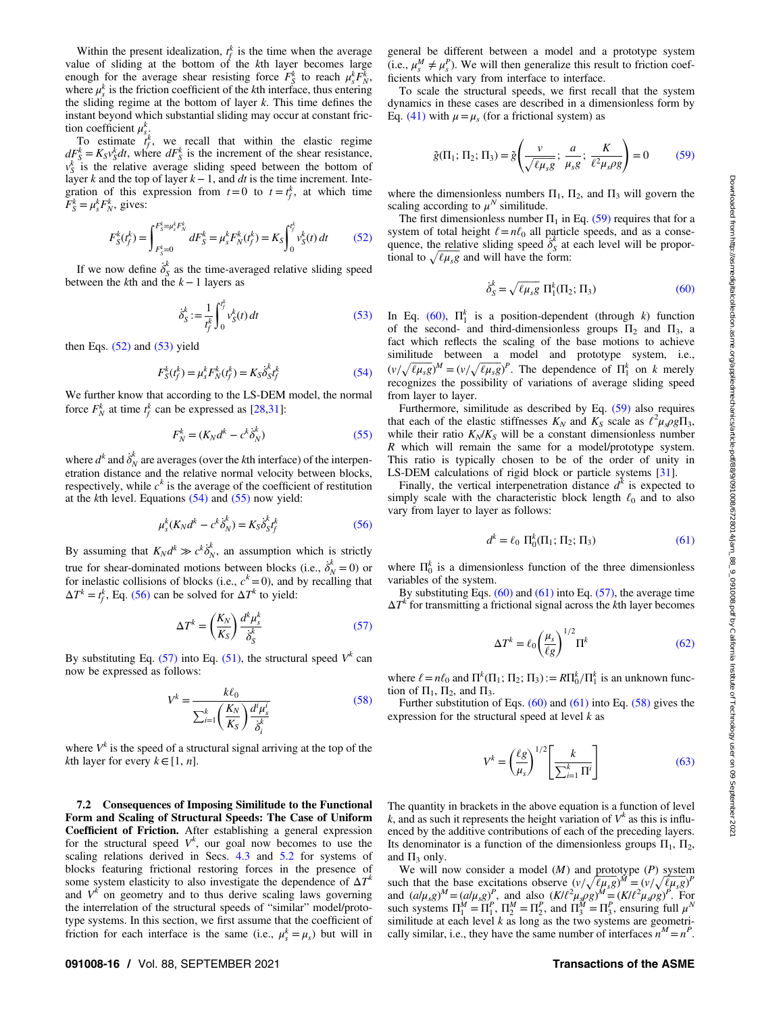<span id="page-15-0"></span>Within the present idealization,  $t_f^k$  is the time when the average value of sliding at the bottom of the  $k$ th layer becomes large enough for the average shear resisting force  $F_S^k$  to reach  $\mu_s^k F_N^k$ , where  $\mu_s^k$  is the friction coefficient of the kth interface, thus entering the sliding regime at the bottom of layer  $k$ . This time defines the instant beyond which substantial sliding may occur at constant friction coefficient  $\mu_s^k$ .

To estimate  $t_f^k$ , we recall that within the elastic regime  $dF_S^k = K_S v_S^k dt$ , where  $dF_S^k$  is the increment of the shear resistance,  $v_S^k$  is the relative average sliding speed between the bottom of layer k and the top of layer  $k-1$ , and dt is the time increment. Integration of this expression from  $t=0$  to  $t=t_f^k$ , at which time  $\overline{F}_S^k = \mu_s^k F_N^k$ , gives:

$$
F_S^k(t_f^k) = \int_{F_S^k=0}^{F_S^k=\mu_s^k F_N^k} dF_S^k = \mu_s^k F_N^k(t_f^k) = K_S \int_0^{t_f^k} v_S^k(t) dt
$$
 (52)

If we now define  $\dot{\delta}_s^k$  as the time-averaged relative sliding speed between the k<sup>th</sup> and the  $k-1$  layers as

$$
\dot{\delta}_S^k := \frac{1}{t_f^k} \int_0^{t_f^k} v_S^k(t) dt
$$
\n(53)

then Eqs.  $(52)$  and  $(53)$  yield

$$
F_S^k(t_f^k) = \mu_s^k F_N^k(t_f^k) = K_S \dot{\delta}_S^k t_f^k
$$
\n(54)

We further know that according to the LS-DEM model, the normal force  $F_N^k$  at time  $t_f^k$  can be expressed as [\[28](#page-18-0),[31\]](#page-18-0):

$$
F_N^k = (K_N d^k - c^k \dot{\delta}_N^k)
$$
\n(55)

where  $d^k$  and  $\dot{\delta}^k_N$  are averages (over the *k*th interface) of the interpenetration distance and the relative normal velocity between blocks, respectively, while  $c^k$  is the average of the coefficient of restitution at the kth level. Equations  $(54)$  and  $(55)$  now yield:

$$
\mu_s^k(K_N d^k - c^k \dot{\delta}_N^k) = K_S \dot{\delta}_S^k t_f^k \tag{56}
$$

By assuming that  $K_N d^k \gg c^k \dot{\delta}_N^k$ , an assumption which is strictly true for shear-dominated motions between blocks (i.e.,  $\dot{\delta}_N^k = 0$ ) or for inelastic collisions of blocks (i.e.,  $c^k = 0$ ), and by recalling that  $\Delta T^{k} = t_{f}^{k}$ , Eq. (56) can be solved for  $\Delta T^{k}$  to yield:

$$
\Delta T^k = \left(\frac{K_N}{K_S}\right) \frac{d^k \mu_s^k}{\dot{\delta}_S^k} \tag{57}
$$

By substituting Eq. (57) into Eq. [\(51\)](#page-14-0), the structural speed  $V^k$  can now be expressed as follows:

$$
V^k = \frac{k\ell_0}{\sum_{i=1}^k \left(\frac{K_N}{K_S}\right) \frac{d^i \mu_s^i}{\dot{\delta}_i^k}}\tag{58}
$$

where  $V^k$  is the speed of a structural signal arriving at the top of the *k*th layer for every  $k \in [1, n]$ .

7.2 Consequences of Imposing Similitude to the Functional Form and Scaling of Structural Speeds: The Case of Uniform Coefficient of Friction. After establishing a general expression for the structural speed  $V^k$ , our goal now becomes to use the scaling relations derived in Secs. [4.3](#page-9-0) and [5.2](#page-10-0) for systems of blocks featuring frictional restoring forces in the presence of some system elasticity to also investigate the dependence of  $\Delta T^k$ and  $V^k$  on geometry and to thus derive scaling laws governing the interrelation of the structural speeds of "similar" model/prototype systems. In this section, we first assume that the coefficient of friction for each interface is the same (i.e.,  $\mu_s^k = \mu_s$ ) but will in

general be different between a model and a prototype system (i.e.,  $\mu_s^M \neq \mu_s^P$ ). We will then generalize this result to friction coefficients which vary from interface to interface.

To scale the structural speeds, we first recall that the system dynamics in these cases are described in a dimensionless form by Eq. [\(41\)](#page-9-0) with  $\mu = \mu_s$  (for a frictional system) as

$$
\tilde{g}(\Pi_1; \Pi_2; \Pi_3) = \tilde{g}\left(\frac{v}{\sqrt{\ell\mu_s g}}; \frac{a}{\mu_s g}; \frac{K}{\ell^2 \mu_s \rho g}\right) = 0 \quad (59)
$$

where the dimensionless numbers  $\Pi_1$ ,  $\Pi_2$ , and  $\Pi_3$  will govern the scaling according to  $\mu^N$  similitude.

The first dimensionless number  $\Pi_1$  in Eq. (59) requires that for a system of total height  $\ell = n\ell_0$  all particle speeds, and as a consequence, the relative sliding speed  $\delta_s$  at each level will be proportional to  $\sqrt{\ell \mu_s g}$  and will have the form:

$$
\dot{\delta}_S^k = \sqrt{\ell \mu_{s} g} \, \Pi_1^k(\Pi_2; \Pi_3) \tag{60}
$$

In Eq. (60),  $\Pi_1^k$  is a position-dependent (through k) function of the second- and third-dimensionless groups  $\Pi_2$  and  $\Pi_3$ , a fact which reflects the scaling of the base motions to achieve similitude between a model and prototype system, i.e.,  $(v/\sqrt{\ell\mu_s g})^M = (v/\sqrt{\ell\mu_s g})^P$ . The dependence of  $\Pi_1^k$  on k merely recognizes the possibility of variations of average sliding speed from layer to layer.

Furthermore, similitude as described by Eq. (59) also requires that each of the elastic stiffnesses  $K_N$  and  $K_S$  scale as  $\ell^2 \mu_s \rho g \Pi_3$ , while their ratio  $K_N/K_S$  will be a constant dimensionless number R which will remain the same for a model/prototype system. This ratio is typically chosen to be of the order of unity in LS-DEM calculations of rigid block or particle systems [[31\]](#page-18-0).

Finally, the vertical interpenetration distance  $d^k$  is expected to simply scale with the characteristic block length  $\ell_0$  and to also vary from layer to layer as follows:

$$
d^k = \ell_0 \, \Pi_0^k(\Pi_1; \Pi_2; \Pi_3) \tag{61}
$$

where  $\Pi_0^k$  is a dimensionless function of the three dimensionless variables of the system.

By substituting Eqs.  $(60)$  and  $(61)$  into Eq.  $(57)$ , the average time  $\Delta T^k$  for transmitting a frictional signal across the kth layer becomes

$$
\Delta T^k = \ell_0 \left(\frac{\mu_s}{\ell g}\right)^{1/2} \Pi^k \tag{62}
$$

where  $\ell = n\ell_0$  and  $\Pi^k(\Pi_1; \Pi_2; \Pi_3) := R\Pi_0^k / \Pi_1^k$  is an unknown function of  $\Pi_1$ ,  $\Pi_2$ , and  $\Pi_3$ .

Further substitution of Eqs.  $(60)$  and  $(61)$  into Eq.  $(58)$  gives the expression for the structural speed at level  $k$  as

$$
V^k = \left(\frac{\ell g}{\mu_s}\right)^{1/2} \left[\frac{k}{\sum_{i=1}^k \Pi^i}\right]
$$
(63)

The quantity in brackets in the above equation is a function of level k, and as such it represents the height variation of  $V^k$  as this is influenced by the additive contributions of each of the preceding layers. Its denominator is a function of the dimensionless groups  $\Pi_1$ ,  $\Pi_2$ , and  $\Pi_3$  only.

We will now consider a model  $(M)$  and prototype  $(P)$  system such that the base excitations observe  $(v/\sqrt{\ell\mu_s g})^M = (v/\sqrt{\ell\mu_s g})^P$ and  $(a/\mu_s g)^M = (a/\mu_s g)^P$ , and also  $(K/l^2 \mu_s \rho g)^M = (K/l^2 \mu_s \rho g)^P$ . For such systems  $\Pi_1^M = \Pi_1^P$ ,  $\Pi_2^M = \Pi_2^P$ , and  $\Pi_3^M = \Pi_3^P$ , ensuring full  $\mu^N$ similitude at each level  $k$  as long as the two systems are geometrically similar, i.e., they have the same number of interfaces  $n^M = n^P$ .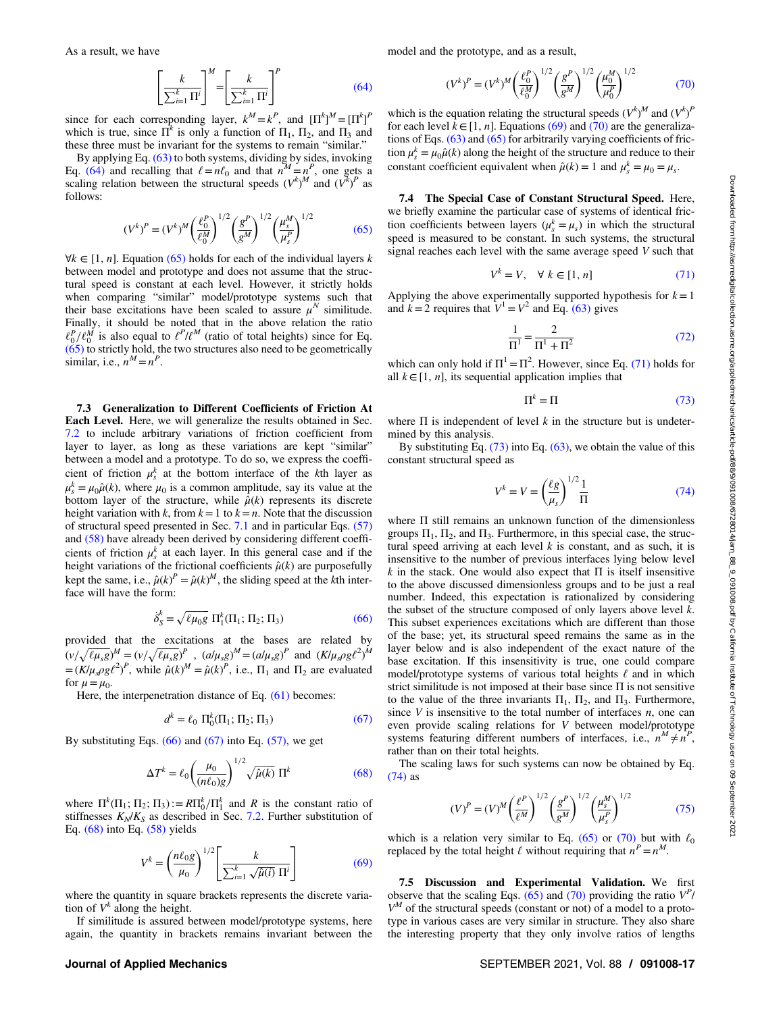$$
\left[\frac{k}{\sum_{i=1}^{k} \Pi^{i}}\right]^{M} = \left[\frac{k}{\sum_{i=1}^{k} \Pi^{i}}\right]^{P}
$$
\n(64)

<span id="page-16-0"></span>since for each corresponding layer,  $k^M = k^P$ , and  $[\Pi^k]^M = [\Pi^k]^P$ which is true, since  $\Pi^k$  is only a function of  $\Pi_1$ ,  $\Pi_2$ , and  $\Pi_3$  and these three must be invariant for the systems to remain "similar."

By applying Eq. [\(63\)](#page-15-0) to both systems, dividing by sides, invoking Eq. (64) and recalling that  $\ell = n\ell_0$  and that  $n^M = n^P$ , one gets a scaling relation between the structural speeds  $(V^k)^M$  and  $(V^k)^P$  as follows:

$$
(V^k)^P = (V^k)^M \left(\frac{\ell_0^P}{\ell_0^M}\right)^{1/2} \left(\frac{g^P}{g^M}\right)^{1/2} \left(\frac{\mu_s^M}{\mu_s^P}\right)^{1/2}
$$
(65)

∀k ∈ [1, *n*]. Equation (65) holds for each of the individual layers *k* between model and prototype and does not assume that the structural speed is constant at each level. However, it strictly holds when comparing "similar" model/prototype systems such that their base excitations have been scaled to assure  $\mu^N$  similitude. Finally, it should be noted that in the above relation the ratio  $\ell_0^P/\ell_0^M$  is also equal to  $\ell^P/\ell^M$  (ratio of total heights) since for Eq.  $(65)$  to strictly hold, the two structures also need to be geometrically similar, i.e.,  $n^M = n^P$ .

7.3 Generalization to Different Coefficients of Friction At Each Level. Here, we will generalize the results obtained in Sec. [7.2](#page-15-0) to include arbitrary variations of friction coefficient from layer to layer, as long as these variations are kept "similar" between a model and a prototype. To do so, we express the coefficient of friction  $\mu_s^k$  at the bottom interface of the kth layer as  $\mu_s^k = \mu_0 \hat{\mu}(k)$ , where  $\mu_0$  is a common amplitude, say its value at the bottom layer of the structure, while  $\hat{\mu}(k)$  represents its discrete height variation with k, from  $k=1$  to  $k=n$ . Note that the discussion of structural speed presented in Sec. [7.1](#page-14-0) and in particular Eqs. [\(57\)](#page-15-0) and [\(58\)](#page-15-0) have already been derived by considering different coefficients of friction  $\mu_s^k$  at each layer. In this general case and if the height variations of the frictional coefficients  $\hat{\mu}(k)$  are purposefully kept the same, i.e.,  $\hat{\mu}(k)^P = \hat{\mu}(k)^M$ , the sliding speed at the kth interface will have the form:

$$
\dot{\delta}_S^k = \sqrt{\ell \mu_0 g} \; \Pi_1^k(\Pi_1; \Pi_2; \Pi_3) \tag{66}
$$

provided that the excitations at the bases are related by  $(v/\sqrt{\ell\mu_s g})^M = (v/\sqrt{\ell\mu_s g})^P$ ,  $(a/\mu_s g)^M = (a/\mu_s g)^P$  and  $(K/\mu_s \rho g \ell^2)^M$  $=(K/\mu_s \rho g \ell^2)^P$ , while  $\hat{\mu}(k)^M = \hat{\mu}(k)^P$ , i.e.,  $\Pi_1$  and  $\Pi_2$  are evaluated for  $\mu = \mu_0$ .

Here, the interpenetration distance of Eq.  $(61)$  becomes:

$$
d^k = \ell_0 \, \Pi_0^k(\Pi_1; \Pi_2; \Pi_3) \tag{67}
$$

By substituting Eqs.  $(66)$  and  $(67)$  into Eq.  $(57)$ , we get

$$
\Delta T^{k} = \ell_0 \left(\frac{\mu_0}{(n\ell_0)g}\right)^{1/2} \sqrt{\hat{\mu}(k)} \Pi^{k} \tag{68}
$$

where  $\Pi^k(\Pi_1; \Pi_2; \Pi_3) := R \Pi_0^k / \Pi_1^k$  and R is the constant ratio of stiffnesses  $K_N/K_S$  as described in Sec. [7.2](#page-15-0). Further substitution of Eq. (68) into Eq. [\(58\)](#page-15-0) yields

$$
V^{k} = \left(\frac{n\ell_{0}g}{\mu_{0}}\right)^{1/2} \left[\frac{k}{\sum_{i=1}^{k} \sqrt{\hat{\mu}(i)} \Pi^{i}}\right]
$$
(69)

where the quantity in square brackets represents the discrete variation of  $V^k$  along the height.

If similitude is assured between model/prototype systems, here again, the quantity in brackets remains invariant between the

model and the prototype, and as a result,

$$
(V^k)^P = (V^k)^M \left(\frac{\ell_0^P}{\ell_0^M}\right)^{1/2} \left(\frac{g^P}{g^M}\right)^{1/2} \left(\frac{\mu_0^M}{\mu_0^P}\right)^{1/2}
$$
(70)

which is the equation relating the structural speeds  $(V^k)^M$  and  $(V^k)^P$ for each level  $k \in [1, n]$ . Equations (69) and (70) are the generalizations of Eqs. [\(63\)](#page-15-0) and (65) for arbitrarily varying coefficients of friction  $\mu_s^k = \mu_0 \hat{\mu}(k)$  along the height of the structure and reduce to their constant coefficient equivalent when  $\hat{\mu}(k) = 1$  and  $\mu_s^k = \mu_0 = \mu_s$ .

7.4 The Special Case of Constant Structural Speed. Here, we briefly examine the particular case of systems of identical friction coefficients between layers  $(\mu_s^k = \mu_s)$  in which the structural speed is measured to be constant. In such systems, the structural signal reaches each level with the same average speed V such that

$$
V^k = V, \quad \forall \ k \in [1, n] \tag{71}
$$

Applying the above experimentally supported hypothesis for  $k=1$ and  $k=2$  requires that  $V^1=V^2$  and Eq. [\(63\)](#page-15-0) gives

$$
\frac{1}{\Pi^{1}} = \frac{2}{\Pi^{1} + \Pi^{2}}
$$
(72)

which can only hold if  $\Pi^1 = \Pi^2$ . However, since Eq. (71) holds for all  $k \in [1, n]$ , its sequential application implies that

$$
\Pi^k = \Pi \tag{73}
$$

where  $\Pi$  is independent of level k in the structure but is undetermined by this analysis.

By substituting Eq.  $(73)$  into Eq.  $(63)$ , we obtain the value of this constant structural speed as

$$
V^k = V = \left(\frac{\ell g}{\mu_s}\right)^{1/2} \frac{1}{\Pi} \tag{74}
$$

where Π still remains an unknown function of the dimensionless groups  $\Pi_1$ ,  $\Pi_2$ , and  $\Pi_3$ . Furthermore, in this special case, the structural speed arriving at each level  $k$  is constant, and as such, it is insensitive to the number of previous interfaces lying below level k in the stack. One would also expect that  $\Pi$  is itself insensitive to the above discussed dimensionless groups and to be just a real number. Indeed, this expectation is rationalized by considering the subset of the structure composed of only layers above level  $k$ . This subset experiences excitations which are different than those of the base; yet, its structural speed remains the same as in the layer below and is also independent of the exact nature of the base excitation. If this insensitivity is true, one could compare model/prototype systems of various total heights  $\ell$  and in which strict similitude is not imposed at their base since Π is not sensitive to the value of the three invariants  $\Pi_1$ ,  $\Pi_2$ , and  $\Pi_3$ . Furthermore, since  $V$  is insensitive to the total number of interfaces  $n$ , one can even provide scaling relations for V between model/prototype systems featuring different numbers of interfaces, i.e.,  $n^M \neq n^P$ , rather than on their total heights.

The scaling laws for such systems can now be obtained by Eq. (74) as

$$
(V)^P = (V)^M \left(\frac{\ell^P}{\ell^M}\right)^{1/2} \left(\frac{g^P}{g^M}\right)^{1/2} \left(\frac{\mu_s^M}{\mu_s^P}\right)^{1/2} \tag{75}
$$

which is a relation very similar to Eq. (65) or (70) but with  $\ell_0$ replaced by the total height  $\ell$  without requiring that  $n^P=n^M$ .

7.5 Discussion and Experimental Validation. We first observe that the scaling Eqs. (65) and (70) providing the ratio  $V^P$ /  $V^M$  of the structural speeds (constant or not) of a model to a prototype in various cases are very similar in structure. They also share the interesting property that they only involve ratios of lengths

#### Journal of Applied Mechanics SEPTEMBER 2021, Vol. 88 / 091008-17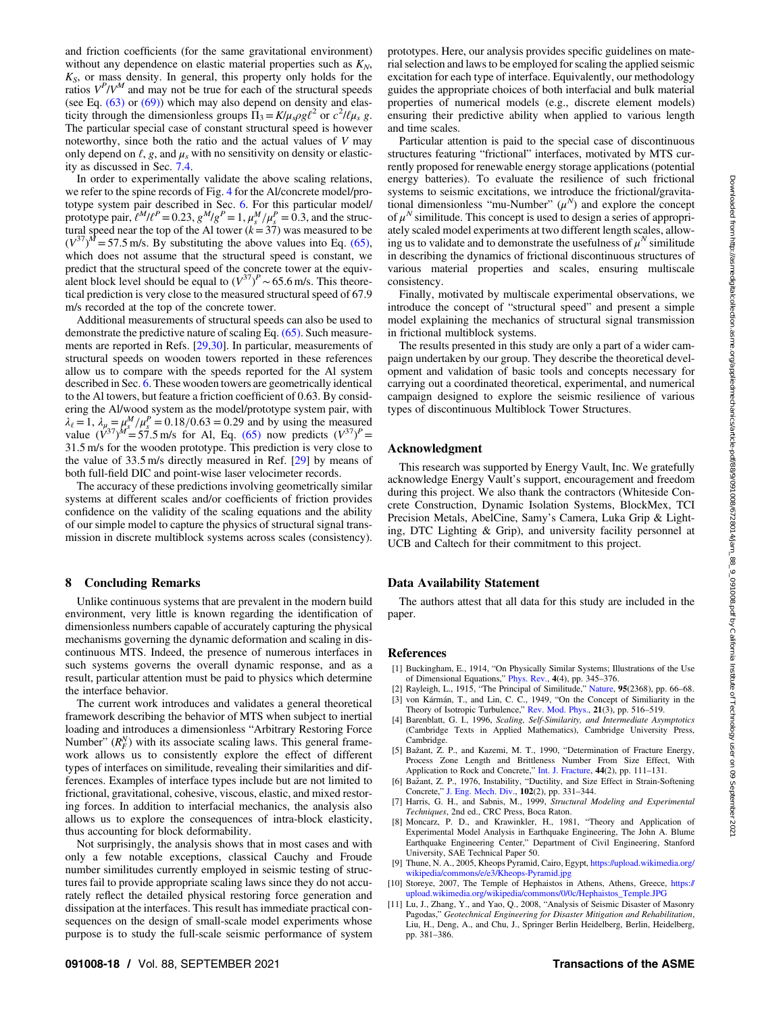<span id="page-17-0"></span>and friction coefficients (for the same gravitational environment) without any dependence on elastic material properties such as  $K_N$ ,  $K<sub>S</sub>$ , or mass density. In general, this property only holds for the ratios  $V^P/V^M$  and may not be true for each of the structural speeds (see Eq.  $(63)$  or  $(69)$ ) which may also depend on density and elasticity through the dimensionless groups  $\Pi_3 = K/\mu_s \rho g \ell^2$  or  $c^2/\ell \mu_s g$ . The particular special case of constant structural speed is however noteworthy, since both the ratio and the actual values of  $V$  may only depend on  $\ell$ , g, and  $\mu_s$  with no sensitivity on density or elasticity as discussed in Sec. [7.4.](#page-16-0)

In order to experimentally validate the above scaling relations, we refer to the spine records of Fig. [4](#page-6-0) for the Al/concrete model/prototype system pair described in Sec. [6.](#page-11-0) For this particular model/ prototype pair,  $\ell^M \ell^P = 0.23$ ,  $g^M/g^P = 1$ ,  $\mu_s^M / \mu_s^P = 0.3$ , and the structural speed near the top of the Al tower ( $k=37$ ) was measured to be  $(V^{37})^M$  = 57.5 m/s. By substituting the above values into Eq. [\(65\),](#page-16-0) which does not assume that the structural speed is constant, we predict that the structural speed of the concrete tower at the equivalent block level should be equal to  $(V^{37})^P \sim 65.6$  m/s. This theoretical prediction is very close to the measured structural speed of 67.9 m/s recorded at the top of the concrete tower.

Additional measurements of structural speeds can also be used to demonstrate the predictive nature of scaling Eq. [\(65\).](#page-16-0) Such measurements are reported in Refs. [[29,30\]](#page-18-0). In particular, measurements of structural speeds on wooden towers reported in these references allow us to compare with the speeds reported for the Al system described in Sec. [6](#page-11-0). These wooden towers are geometrically identical to the Al towers, but feature a friction coefficient of 0.63. By considering the Al/wood system as the model/prototype system pair, with  $\lambda_{\ell} = 1$ ,  $\lambda_{\mu} = \mu_s^M / \mu_s^P = 0.18/0.63 = 0.29$  and by using the measured value  $(V^{37})^M = 57.5$  m/s for Al, Eq. [\(65\)](#page-16-0) now predicts  $(V^{37})^P =$ 31.5 m/s for the wooden prototype. This prediction is very close to the value of 33.5 m/s directly measured in Ref. [\[29](#page-18-0)] by means of both full-field DIC and point-wise laser velocimeter records.

The accuracy of these predictions involving geometrically similar systems at different scales and/or coefficients of friction provides confidence on the validity of the scaling equations and the ability of our simple model to capture the physics of structural signal transmission in discrete multiblock systems across scales (consistency).

#### 8 Concluding Remarks

Unlike continuous systems that are prevalent in the modern build environment, very little is known regarding the identification of dimensionless numbers capable of accurately capturing the physical mechanisms governing the dynamic deformation and scaling in discontinuous MTS. Indeed, the presence of numerous interfaces in such systems governs the overall dynamic response, and as a result, particular attention must be paid to physics which determine the interface behavior.

The current work introduces and validates a general theoretical framework describing the behavior of MTS when subject to inertial loading and introduces a dimensionless "Arbitrary Restoring Force Number"  $(R_F^N)$  with its associate scaling laws. This general framework allows us to consistently explore the effect of different types of interfaces on similitude, revealing their similarities and differences. Examples of interface types include but are not limited to frictional, gravitational, cohesive, viscous, elastic, and mixed restoring forces. In addition to interfacial mechanics, the analysis also allows us to explore the consequences of intra-block elasticity, thus accounting for block deformability.

Not surprisingly, the analysis shows that in most cases and with only a few notable exceptions, classical Cauchy and Froude number similitudes currently employed in seismic testing of structures fail to provide appropriate scaling laws since they do not accurately reflect the detailed physical restoring force generation and dissipation at the interfaces. This result has immediate practical consequences on the design of small-scale model experiments whose purpose is to study the full-scale seismic performance of system

prototypes. Here, our analysis provides specific guidelines on material selection and laws to be employed for scaling the applied seismic excitation for each type of interface. Equivalently, our methodology guides the appropriate choices of both interfacial and bulk material properties of numerical models (e.g., discrete element models) ensuring their predictive ability when applied to various length and time scales.

Particular attention is paid to the special case of discontinuous structures featuring "frictional" interfaces, motivated by MTS currently proposed for renewable energy storage applications (potential energy batteries). To evaluate the resilience of such frictional systems to seismic excitations, we introduce the frictional/gravitational dimensionless "mu-Number"  $(\mu^N)$  and explore the concept of  $\mu^N$  similitude. This concept is used to design a series of appropriately scaled model experiments at two different length scales, allowing us to validate and to demonstrate the usefulness of  $\mu^N$  similitude in describing the dynamics of frictional discontinuous structures of various material properties and scales, ensuring multiscale consistency.

Finally, motivated by multiscale experimental observations, we introduce the concept of "structural speed" and present a simple model explaining the mechanics of structural signal transmission in frictional multiblock systems.

The results presented in this study are only a part of a wider campaign undertaken by our group. They describe the theoretical development and validation of basic tools and concepts necessary for carrying out a coordinated theoretical, experimental, and numerical campaign designed to explore the seismic resilience of various types of discontinuous Multiblock Tower Structures.

#### Acknowledgment

This research was supported by Energy Vault, Inc. We gratefully acknowledge Energy Vault's support, encouragement and freedom during this project. We also thank the contractors (Whiteside Concrete Construction, Dynamic Isolation Systems, BlockMex, TCI Precision Metals, AbelCine, Samy's Camera, Luka Grip & Lighting, DTC Lighting & Grip), and university facility personnel at UCB and Caltech for their commitment to this project.

#### Data Availability Statement

The authors attest that all data for this study are included in the paper.

#### References

- [1] Buckingham, E., 1914, "On Physically Similar Systems; Illustrations of the Use of Dimensional Equations," [Phys. Rev.,](https://dx.doi.org/10.1103/PhysRev.4.345) 4(4), pp. 345–376.
- [2] Rayleigh, L., 1915, "The Principal of Similitude," [Nature](https://dx.doi.org/10.1038/095066c0), 95(2368), pp. 66–68. [3] von Kármán, T., and Lin, C. C., 1949, "On the Concept of Similiarity in the
- Theory of Isotropic Turbulence," [Rev. Mod. Phys.,](https://dx.doi.org/10.1103/RevModPhys.21.516) 21(3), pp. 516–519. [4] Barenblatt, G. I., 1996, Scaling, Self-Similarity, and Intermediate Asymptotics (Cambridge Texts in Applied Mathematics), Cambridge University Press, Cambridge.
- [5] Bažant, Z. P., and Kazemi, M. T., 1990, "Determination of Fracture Energy, Process Zone Length and Brittleness Number From Size Effect, With Application to Rock and Concrete," [Int. J. Fracture,](http://dx.doi.org/10.1007/BF00047063) 44(2), pp. 111-131.
- [6] Bažant, Z. P., 1976, Instability, "Ductility, and Size Effect in Strain-Softening Concrete," [J. Eng. Mech. Div.,](http://dx.doi.org/10.1061/JMCEA3.0002111) 102(2), pp. 331–344.
- [7] Harris, G. H., and Sabnis, M., 1999, Structural Modeling and Experimental Techniques, 2nd ed., CRC Press, Boca Raton.
- [8] Moncarz, P. D., and Krawinkler, H., 1981, "Theory and Application of Experimental Model Analysis in Earthquake Engineering, The John A. Blume Earthquake Engineering Center," Department of Civil Engineering, Stanford University, SAE Technical Paper 50.
- [9] Thune, N. A., 2005, Kheops Pyramid, Cairo, Egypt, [https://upload.wikimedia.org/](https://upload.wikimedia.org/wikipedia/commons/e/e3/Kheops-Pyramid.jpg) [wikipedia/commons/e/e3/Kheops-Pyramid.jpg](https://upload.wikimedia.org/wikipedia/commons/e/e3/Kheops-Pyramid.jpg)
- [10] Storeye, 2007, The Temple of Hephaistos in Athens, Athens, Greece, [https://](https://upload.wikimedia.org/wikipedia/commons/0/0c/Hephaistos_Temple.JPG) [upload.wikimedia.org/wikipedia/commons/0/0c/Hephaistos\\_Temple.JPG](https://upload.wikimedia.org/wikipedia/commons/0/0c/Hephaistos_Temple.JPG)
- [11] Lu, J., Zhang, Y., and Yao, Q., 2008, "Analysis of Seismic Disaster of Masonry Pagodas," Geotechnical Engineering for Disaster Mitigation and Rehabilitation, Liu, H., Deng, A., and Chu, J., Springer Berlin Heidelberg, Berlin, Heidelberg, pp. 381–386.